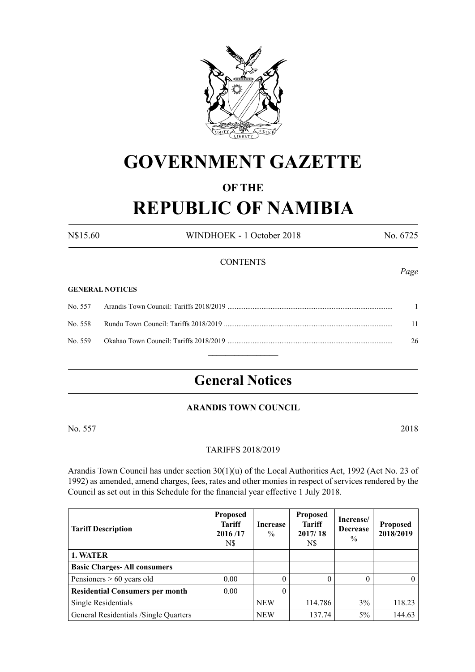

## **GOVERNMENT GAZETTE**

## **OF THE**

# **REPUBLIC OF NAMIBIA**

N\$15.60 WINDHOEK - 1 October 2018 No. 6725

### **CONTENTS**

#### **GENERAL NOTICES**

|  | 11 |
|--|----|
|  | 26 |
|  |    |

## **General Notices**

## **ARANDIS TOWN COUNCIL**

No. 557 2018

#### TARIFFS 2018/2019

Arandis Town Council has under section 30(1)(u) of the Local Authorities Act, 1992 (Act No. 23 of 1992) as amended, amend charges, fees, rates and other monies in respect of services rendered by the Council as set out in this Schedule for the financial year effective 1 July 2018.

| <b>Tariff Description</b>              | <b>Proposed</b><br><b>Tariff</b><br>2016/17<br>N\$ | Increase<br>$\%$ | <b>Proposed</b><br><b>Tariff</b><br>2017/18<br>N\$ | Increase/<br><b>Decrease</b><br>$\%$ | <b>Proposed</b><br>2018/2019 |
|----------------------------------------|----------------------------------------------------|------------------|----------------------------------------------------|--------------------------------------|------------------------------|
| 1. WATER                               |                                                    |                  |                                                    |                                      |                              |
| <b>Basic Charges-All consumers</b>     |                                                    |                  |                                                    |                                      |                              |
| Pensioners $> 60$ years old            | 0.00                                               | $\Omega$         | 0                                                  | 0                                    |                              |
| <b>Residential Consumers per month</b> | 0.00                                               | $\theta$         |                                                    |                                      |                              |
| Single Residentials                    |                                                    | <b>NEW</b>       | 114.786                                            | 3%                                   | 118.23                       |
| General Residentials /Single Quarters  |                                                    | <b>NEW</b>       | 137.74                                             | $5\%$                                | 144.63                       |

*Page*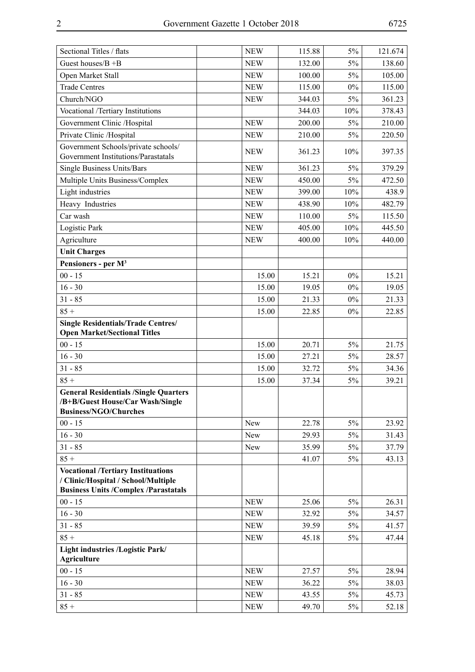|--|

| Sectional Titles / flats                                                                                                        | <b>NEW</b> | 115.88 | $5\%$ | 121.674 |
|---------------------------------------------------------------------------------------------------------------------------------|------------|--------|-------|---------|
| Guest houses/ $B + B$                                                                                                           | <b>NEW</b> | 132.00 | $5\%$ | 138.60  |
| Open Market Stall                                                                                                               | <b>NEW</b> | 100.00 | $5\%$ | 105.00  |
| <b>Trade Centres</b>                                                                                                            | <b>NEW</b> | 115.00 | $0\%$ | 115.00  |
| Church/NGO                                                                                                                      | <b>NEW</b> | 344.03 | $5\%$ | 361.23  |
| Vocational /Tertiary Institutions                                                                                               |            | 344.03 | 10%   | 378.43  |
| Government Clinic /Hospital                                                                                                     | <b>NEW</b> | 200.00 | $5\%$ | 210.00  |
| Private Clinic /Hospital                                                                                                        | <b>NEW</b> | 210.00 | $5\%$ | 220.50  |
| Government Schools/private schools/<br>Government Institutions/Parastatals                                                      | <b>NEW</b> | 361.23 | 10%   | 397.35  |
| Single Business Units/Bars                                                                                                      | <b>NEW</b> | 361.23 | $5\%$ | 379.29  |
| Multiple Units Business/Complex                                                                                                 | <b>NEW</b> | 450.00 | $5\%$ | 472.50  |
| Light industries                                                                                                                | <b>NEW</b> | 399.00 | 10%   | 438.9   |
| Heavy Industries                                                                                                                | <b>NEW</b> | 438.90 | 10%   | 482.79  |
| Car wash                                                                                                                        | <b>NEW</b> | 110.00 | 5%    | 115.50  |
| Logistic Park                                                                                                                   | <b>NEW</b> | 405.00 | 10%   | 445.50  |
| Agriculture                                                                                                                     | <b>NEW</b> | 400.00 | 10%   | 440.00  |
| <b>Unit Charges</b>                                                                                                             |            |        |       |         |
| Pensioners - per M <sup>3</sup>                                                                                                 |            |        |       |         |
| $00 - 15$                                                                                                                       | 15.00      | 15.21  | $0\%$ | 15.21   |
| $16 - 30$                                                                                                                       | 15.00      | 19.05  | $0\%$ | 19.05   |
| $31 - 85$                                                                                                                       | 15.00      | 21.33  | $0\%$ | 21.33   |
| $85 +$                                                                                                                          | 15.00      | 22.85  | $0\%$ | 22.85   |
| <b>Single Residentials/Trade Centres/</b><br><b>Open Market/Sectional Titles</b>                                                |            |        |       |         |
| $00 - 15$                                                                                                                       | 15.00      | 20.71  | $5\%$ | 21.75   |
| $16 - 30$                                                                                                                       | 15.00      | 27.21  | 5%    | 28.57   |
| $31 - 85$                                                                                                                       | 15.00      | 32.72  | $5\%$ | 34.36   |
| $85 +$                                                                                                                          | 15.00      | 37.34  | 5%    | 39.21   |
| <b>General Residentials /Single Quarters</b><br>/B+B/Guest House/Car Wash/Single<br><b>Business/NGO/Churches</b>                |            |        |       |         |
| $00 - 15$                                                                                                                       | New        | 22.78  | $5\%$ | 23.92   |
| $16 - 30$                                                                                                                       | New        | 29.93  | $5\%$ | 31.43   |
| $31 - 85$                                                                                                                       | New        | 35.99  | $5\%$ | 37.79   |
| $85 +$                                                                                                                          |            | 41.07  | 5%    | 43.13   |
| <b>Vocational /Tertiary Instituations</b><br>/ Clinic/Hospital / School/Multiple<br><b>Business Units /Complex /Parastatals</b> |            |        |       |         |
| $00 - 15$                                                                                                                       | <b>NEW</b> | 25.06  | $5\%$ | 26.31   |
| $16 - 30$                                                                                                                       | <b>NEW</b> | 32.92  | 5%    | 34.57   |
| $31 - 85$                                                                                                                       | <b>NEW</b> | 39.59  | 5%    | 41.57   |
| $85 +$                                                                                                                          | <b>NEW</b> | 45.18  | 5%    | 47.44   |
| Light industries /Logistic Park/<br>Agriculture                                                                                 |            |        |       |         |
| $00 - 15$                                                                                                                       | <b>NEW</b> | 27.57  | $5\%$ | 28.94   |
| $16 - 30$                                                                                                                       | <b>NEW</b> | 36.22  | $5\%$ | 38.03   |
| $31 - 85$                                                                                                                       | <b>NEW</b> | 43.55  | $5\%$ | 45.73   |
| $85 +$                                                                                                                          | <b>NEW</b> | 49.70  | $5\%$ | 52.18   |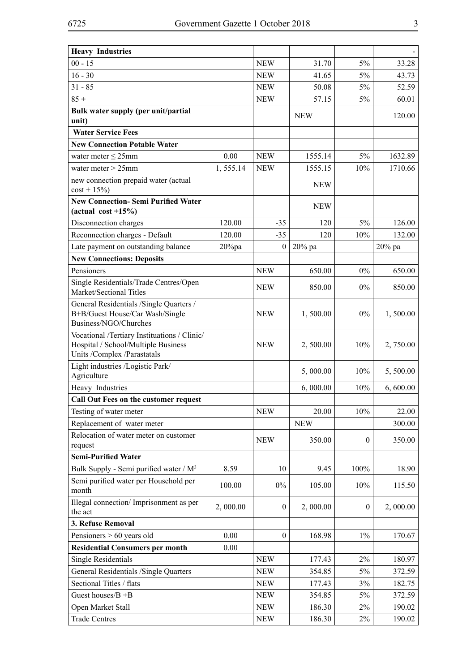| <b>Heavy Industries</b>                                                                                            |           |                  |            |                  |          |
|--------------------------------------------------------------------------------------------------------------------|-----------|------------------|------------|------------------|----------|
| $00 - 15$                                                                                                          |           | <b>NEW</b>       | 31.70      | 5%               | 33.28    |
| $16 - 30$                                                                                                          |           | <b>NEW</b>       | 41.65      | 5%               | 43.73    |
| $31 - 85$                                                                                                          |           | <b>NEW</b>       | 50.08      | 5%               | 52.59    |
| $85 +$                                                                                                             |           | <b>NEW</b>       | 57.15      | 5%               | 60.01    |
| Bulk water supply (per unit/partial<br>unit)                                                                       |           |                  | <b>NEW</b> |                  | 120.00   |
| <b>Water Service Fees</b>                                                                                          |           |                  |            |                  |          |
| <b>New Connection Potable Water</b>                                                                                |           |                  |            |                  |          |
| water meter $\leq$ 25mm                                                                                            | 0.00      | <b>NEW</b>       | 1555.14    | 5%               | 1632.89  |
| water meter $>$ 25mm                                                                                               | 1, 555.14 | <b>NEW</b>       | 1555.15    | 10%              | 1710.66  |
| new connection prepaid water (actual<br>$cost + 15\%)$                                                             |           |                  | <b>NEW</b> |                  |          |
| <b>New Connection-Semi Purified Water</b><br>(actual cost $+15\%$ )                                                |           |                  | <b>NEW</b> |                  |          |
| Disconnection charges                                                                                              | 120.00    | $-35$            | 120        | 5%               | 126.00   |
| Reconnection charges - Default                                                                                     | 120.00    | $-35$            | 120        | 10%              | 132.00   |
| Late payment on outstanding balance                                                                                | $20\%$ pa | $\boldsymbol{0}$ | 20% pa     |                  | 20% pa   |
| <b>New Connections: Deposits</b>                                                                                   |           |                  |            |                  |          |
| Pensioners                                                                                                         |           | <b>NEW</b>       | 650.00     | $0\%$            | 650.00   |
| Single Residentials/Trade Centres/Open<br>Market/Sectional Titles                                                  |           | <b>NEW</b>       | 850.00     | $0\%$            | 850.00   |
| General Residentials /Single Quarters /<br>B+B/Guest House/Car Wash/Single<br>Business/NGO/Churches                |           | <b>NEW</b>       | 1,500.00   | $0\%$            | 1,500.00 |
| Vocational /Tertiary Instituations / Clinic/<br>Hospital / School/Multiple Business<br>Units /Complex /Parastatals |           | <b>NEW</b>       | 2,500.00   | 10%              | 2,750.00 |
| Light industries /Logistic Park/<br>Agriculture                                                                    |           |                  | 5,000.00   | 10%              | 5,500.00 |
| Heavy Industries                                                                                                   |           |                  | 6,000.00   | 10%              | 6,600.00 |
| Call Out Fees on the customer request                                                                              |           |                  |            |                  |          |
| Testing of water meter                                                                                             |           | <b>NEW</b>       | 20.00      | 10%              | 22.00    |
| Replacement of water meter                                                                                         |           |                  | <b>NEW</b> |                  | 300.00   |
| Relocation of water meter on customer<br>request                                                                   |           | <b>NEW</b>       | 350.00     | $\mathbf{0}$     | 350.00   |
| <b>Semi-Purified Water</b>                                                                                         |           |                  |            |                  |          |
| Bulk Supply - Semi purified water / M <sup>3</sup>                                                                 | 8.59      | 10               | 9.45       | 100%             | 18.90    |
| Semi purified water per Household per<br>month                                                                     | 100.00    | $0\%$            | 105.00     | 10%              | 115.50   |
| Illegal connection/Imprisonment as per<br>the act                                                                  | 2,000.00  | $\boldsymbol{0}$ | 2,000.00   | $\boldsymbol{0}$ | 2,000.00 |
| 3. Refuse Removal                                                                                                  |           |                  |            |                  |          |
| Pensioners > 60 years old                                                                                          | 0.00      | $\boldsymbol{0}$ | 168.98     | $1\%$            | 170.67   |
| <b>Residential Consumers per month</b>                                                                             | 0.00      |                  |            |                  |          |
| <b>Single Residentials</b>                                                                                         |           | <b>NEW</b>       | 177.43     | $2\%$            | 180.97   |
| General Residentials /Single Quarters                                                                              |           | <b>NEW</b>       | 354.85     | 5%               | 372.59   |
| Sectional Titles / flats                                                                                           |           | <b>NEW</b>       | 177.43     | 3%               | 182.75   |
| Guest houses/ $B + B$                                                                                              |           | <b>NEW</b>       | 354.85     | 5%               | 372.59   |
| Open Market Stall                                                                                                  |           | <b>NEW</b>       | 186.30     | $2\%$            | 190.02   |
| <b>Trade Centres</b>                                                                                               |           | <b>NEW</b>       | 186.30     | $2\%$            | 190.02   |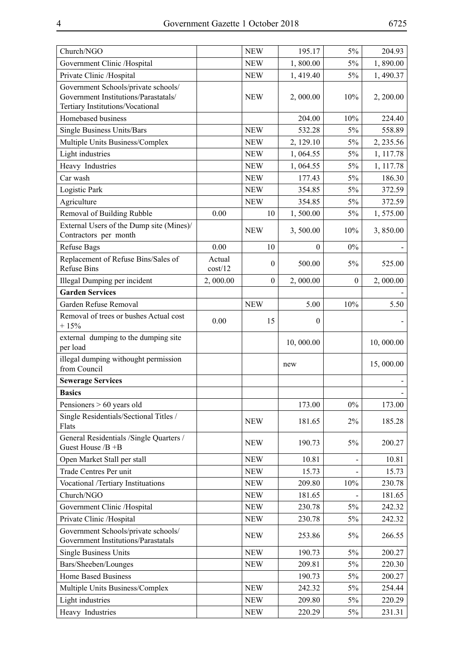| Church/NGO                                                                                                      |                   | <b>NEW</b>       | 195.17    | 5%           | 204.93    |
|-----------------------------------------------------------------------------------------------------------------|-------------------|------------------|-----------|--------------|-----------|
| Government Clinic /Hospital                                                                                     |                   | <b>NEW</b>       | 1,800.00  | $5\%$        | 1,890.00  |
| Private Clinic /Hospital                                                                                        |                   | <b>NEW</b>       | 1,419.40  | 5%           | 1,490.37  |
| Government Schools/private schools/<br>Government Institutions/Parastatals/<br>Tertiary Institutions/Vocational |                   | <b>NEW</b>       | 2,000.00  | 10%          | 2, 200.00 |
| Homebased business                                                                                              |                   |                  | 204.00    | 10%          | 224.40    |
| Single Business Units/Bars                                                                                      |                   | <b>NEW</b>       | 532.28    | $5\%$        | 558.89    |
| Multiple Units Business/Complex                                                                                 |                   | <b>NEW</b>       | 2, 129.10 | 5%           | 2, 235.56 |
| Light industries                                                                                                |                   | <b>NEW</b>       | 1,064.55  | $5\%$        | 1, 117.78 |
| Heavy Industries                                                                                                |                   | <b>NEW</b>       | 1,064.55  | 5%           | 1, 117.78 |
| Car wash                                                                                                        |                   | <b>NEW</b>       | 177.43    | $5\%$        | 186.30    |
| Logistic Park                                                                                                   |                   | <b>NEW</b>       | 354.85    | $5\%$        | 372.59    |
| Agriculture                                                                                                     |                   | <b>NEW</b>       | 354.85    | 5%           | 372.59    |
| Removal of Building Rubble                                                                                      | 0.00              | 10               | 1,500.00  | $5\%$        | 1,575.00  |
| External Users of the Dump site (Mines)/<br>Contractors per month                                               |                   | <b>NEW</b>       | 3,500.00  | 10%          | 3,850.00  |
| <b>Refuse Bags</b>                                                                                              | 0.00              | 10               | $\theta$  | $0\%$        |           |
| Replacement of Refuse Bins/Sales of<br><b>Refuse Bins</b>                                                       | Actual<br>cost/12 | $\boldsymbol{0}$ | 500.00    | $5\%$        | 525.00    |
| Illegal Dumping per incident                                                                                    | 2,000.00          | $\boldsymbol{0}$ | 2,000.00  | $\mathbf{0}$ | 2,000.00  |
| <b>Garden Services</b>                                                                                          |                   |                  |           |              |           |
| Garden Refuse Removal                                                                                           |                   | <b>NEW</b>       | 5.00      | 10%          | 5.50      |
| Removal of trees or bushes Actual cost<br>$+15%$                                                                | 0.00              | 15               | $\theta$  |              |           |
|                                                                                                                 |                   |                  |           |              |           |
| external dumping to the dumping site<br>per load                                                                |                   |                  | 10,000.00 |              | 10,000.00 |
| illegal dumping withought permission<br>from Council                                                            |                   |                  | new       |              | 15,000.00 |
| <b>Sewerage Services</b>                                                                                        |                   |                  |           |              |           |
| <b>Basics</b>                                                                                                   |                   |                  |           |              |           |
| Pensioners > 60 years old                                                                                       |                   |                  | 173.00    | $0\%$        | 173.00    |
| Single Residentials/Sectional Titles /<br>Flats                                                                 |                   | <b>NEW</b>       | 181.65    | $2\%$        | 185.28    |
| General Residentials /Single Quarters /<br>Guest House /B +B                                                    |                   | <b>NEW</b>       | 190.73    | 5%           | 200.27    |
| Open Market Stall per stall                                                                                     |                   | <b>NEW</b>       | 10.81     |              | 10.81     |
| Trade Centres Per unit                                                                                          |                   | <b>NEW</b>       | 15.73     |              | 15.73     |
| Vocational /Tertiary Instituations                                                                              |                   | <b>NEW</b>       | 209.80    | $10\%$       | 230.78    |
| Church/NGO                                                                                                      |                   | <b>NEW</b>       | 181.65    |              | 181.65    |
| Government Clinic /Hospital                                                                                     |                   | <b>NEW</b>       | 230.78    | 5%           | 242.32    |
| Private Clinic /Hospital                                                                                        |                   | <b>NEW</b>       | 230.78    | 5%           | 242.32    |
| Government Schools/private schools/<br>Government Institutions/Parastatals                                      |                   | <b>NEW</b>       | 253.86    | 5%           | 266.55    |
| <b>Single Business Units</b>                                                                                    |                   | <b>NEW</b>       | 190.73    | $5\%$        | 200.27    |
| Bars/Sheeben/Lounges                                                                                            |                   | <b>NEW</b>       | 209.81    | $5\%$        | 220.30    |
| Home Based Business                                                                                             |                   |                  | 190.73    | 5%           | 200.27    |
| Multiple Units Business/Complex                                                                                 |                   | <b>NEW</b>       | 242.32    | $5\%$        | 254.44    |
| Light industries                                                                                                |                   | <b>NEW</b>       | 209.80    | $5\%$        | 220.29    |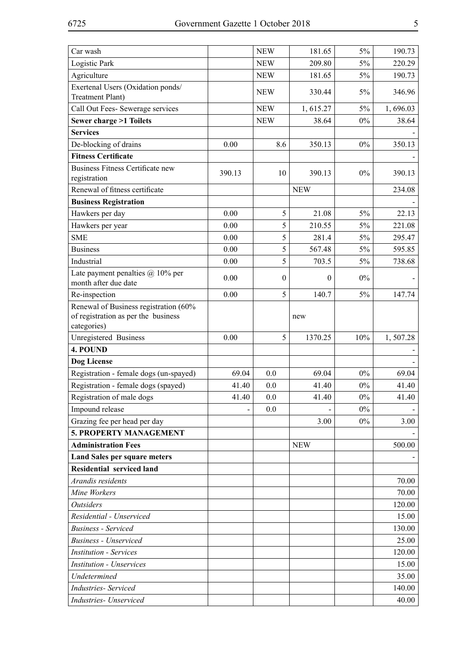| Car wash                                                                                    |                          | <b>NEW</b> | 181.65     | 5%    | 190.73   |
|---------------------------------------------------------------------------------------------|--------------------------|------------|------------|-------|----------|
| Logistic Park                                                                               |                          | <b>NEW</b> | 209.80     | 5%    | 220.29   |
| Agriculture                                                                                 |                          | <b>NEW</b> | 181.65     | 5%    | 190.73   |
| Exertenal Users (Oxidation ponds/                                                           |                          | <b>NEW</b> | 330.44     | $5\%$ | 346.96   |
| <b>Treatment Plant)</b>                                                                     |                          |            |            |       |          |
| Call Out Fees- Sewerage services                                                            |                          | <b>NEW</b> | 1,615.27   | $5\%$ | 1,696.03 |
| <b>Sewer charge &gt;1 Toilets</b>                                                           |                          | <b>NEW</b> | 38.64      | $0\%$ | 38.64    |
| <b>Services</b>                                                                             |                          |            |            |       |          |
| De-blocking of drains                                                                       | 0.00                     | 8.6        | 350.13     | $0\%$ | 350.13   |
| <b>Fitness Certificate</b>                                                                  |                          |            |            |       |          |
| <b>Business Fitness Certificate new</b>                                                     | 390.13                   | 10         | 390.13     | $0\%$ | 390.13   |
| registration                                                                                |                          |            |            |       |          |
| Renewal of fitness certificate                                                              |                          |            | <b>NEW</b> |       | 234.08   |
| <b>Business Registration</b>                                                                |                          |            |            |       |          |
| Hawkers per day                                                                             | 0.00                     | 5          | 21.08      | 5%    | 22.13    |
| Hawkers per year                                                                            | 0.00                     | 5          | 210.55     | 5%    | 221.08   |
| <b>SME</b>                                                                                  | 0.00                     | 5          | 281.4      | $5\%$ | 295.47   |
| <b>Business</b>                                                                             | 0.00                     | 5          | 567.48     | $5\%$ | 595.85   |
| Industrial                                                                                  | 0.00                     | 5          | 703.5      | 5%    | 738.68   |
| Late payment penalties $(a)$ 10% per<br>month after due date                                | 0.00                     | $\theta$   | $\theta$   | $0\%$ |          |
| Re-inspection                                                                               | 0.00                     | 5          | 140.7      | 5%    | 147.74   |
| Renewal of Business registration (60%<br>of registration as per the business<br>categories) |                          |            | new        |       |          |
| Unregistered Business                                                                       | 0.00                     | 5          | 1370.25    | 10%   | 1,507.28 |
| 4. POUND                                                                                    |                          |            |            |       |          |
| Dog License                                                                                 |                          |            |            |       |          |
| Registration - female dogs (un-spayed)                                                      | 69.04                    | 0.0        | 69.04      | $0\%$ | 69.04    |
| Registration - female dogs (spayed)                                                         | 41.40                    | 0.0        | 41.40      | $0\%$ | 41.40    |
| Registration of male dogs                                                                   | 41.40                    | 0.0        | 41.40      | $0\%$ | 41.40    |
| Impound release                                                                             | $\overline{\phantom{0}}$ | 0.0        |            | $0\%$ |          |
| Grazing fee per head per day                                                                |                          |            | 3.00       | $0\%$ | 3.00     |
| 5. PROPERTY MANAGEMENT                                                                      |                          |            |            |       |          |
| <b>Administration Fees</b>                                                                  |                          |            | <b>NEW</b> |       | 500.00   |
| <b>Land Sales per square meters</b>                                                         |                          |            |            |       |          |
| <b>Residential serviced land</b>                                                            |                          |            |            |       |          |
| Arandis residents                                                                           |                          |            |            |       | 70.00    |
| Mine Workers                                                                                |                          |            |            |       | 70.00    |
| <b>Outsiders</b>                                                                            |                          |            |            |       | 120.00   |
| Residential - Unserviced                                                                    |                          |            |            |       | 15.00    |
| <b>Business</b> - Serviced                                                                  |                          |            |            |       | 130.00   |
| <b>Business - Unserviced</b>                                                                |                          |            |            |       | 25.00    |
| <b>Institution - Services</b>                                                               |                          |            |            |       | 120.00   |
| <b>Institution - Unservices</b>                                                             |                          |            |            |       | 15.00    |
| Undetermined                                                                                |                          |            |            |       | 35.00    |
| <b>Industries- Serviced</b>                                                                 |                          |            |            |       | 140.00   |
| Industries- Unserviced                                                                      |                          |            |            |       | 40.00    |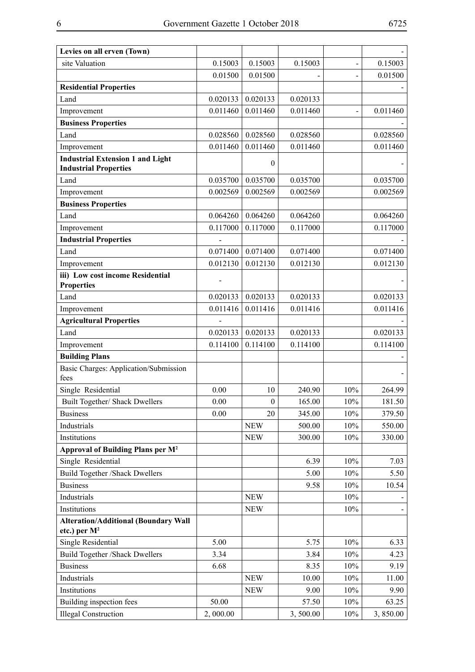| Levies on all erven (Town)                                              |          |                  |          |        |          |
|-------------------------------------------------------------------------|----------|------------------|----------|--------|----------|
| site Valuation                                                          | 0.15003  | 0.15003          | 0.15003  |        | 0.15003  |
|                                                                         | 0.01500  | 0.01500          |          |        | 0.01500  |
| <b>Residential Properties</b>                                           |          |                  |          |        |          |
| Land                                                                    | 0.020133 | 0.020133         | 0.020133 |        |          |
| Improvement                                                             | 0.011460 | 0.011460         | 0.011460 |        | 0.011460 |
| <b>Business Properties</b>                                              |          |                  |          |        |          |
| Land                                                                    | 0.028560 | 0.028560         | 0.028560 |        | 0.028560 |
| Improvement                                                             | 0.011460 | 0.011460         | 0.011460 |        | 0.011460 |
| <b>Industrial Extension 1 and Light</b><br><b>Industrial Properties</b> |          | $\theta$         |          |        |          |
| Land                                                                    | 0.035700 | 0.035700         | 0.035700 |        | 0.035700 |
| Improvement                                                             | 0.002569 | 0.002569         | 0.002569 |        | 0.002569 |
| <b>Business Properties</b>                                              |          |                  |          |        |          |
| Land                                                                    | 0.064260 | 0.064260         | 0.064260 |        | 0.064260 |
| Improvement                                                             | 0.117000 | 0.117000         | 0.117000 |        | 0.117000 |
| <b>Industrial Properties</b>                                            |          |                  |          |        |          |
| Land                                                                    | 0.071400 | 0.071400         | 0.071400 |        | 0.071400 |
| Improvement                                                             | 0.012130 | 0.012130         | 0.012130 |        | 0.012130 |
| iii) Low cost income Residential<br><b>Properties</b>                   |          |                  |          |        |          |
| Land                                                                    | 0.020133 | 0.020133         | 0.020133 |        | 0.020133 |
| Improvement                                                             | 0.011416 | 0.011416         | 0.011416 |        | 0.011416 |
| <b>Agricultural Properties</b>                                          |          |                  |          |        |          |
| Land                                                                    | 0.020133 | 0.020133         | 0.020133 |        | 0.020133 |
| Improvement                                                             | 0.114100 | 0.114100         | 0.114100 |        | 0.114100 |
| <b>Building Plans</b>                                                   |          |                  |          |        |          |
| Basic Charges: Application/Submission<br>fees                           |          |                  |          |        |          |
| Single Residential                                                      | 0.00     | 10               | 240.90   | 10%    | 264.99   |
| Built Together/ Shack Dwellers                                          | 0.00     | $\boldsymbol{0}$ | 165.00   | $10\%$ | 181.50   |
| <b>Business</b>                                                         | 0.00     | 20               | 345.00   | 10%    | 379.50   |
| Industrials                                                             |          | <b>NEW</b>       | 500.00   | 10%    | 550.00   |
| Institutions                                                            |          | <b>NEW</b>       | 300.00   | 10%    | 330.00   |
| Approval of Building Plans per M <sup>2</sup>                           |          |                  |          |        |          |
| Single Residential                                                      |          |                  | 6.39     | 10%    | 7.03     |
| <b>Build Together /Shack Dwellers</b>                                   |          |                  | 5.00     | 10%    | 5.50     |
| <b>Business</b>                                                         |          |                  | 9.58     | 10%    | 10.54    |
| Industrials                                                             |          | <b>NEW</b>       |          | 10%    |          |
| Institutions                                                            |          | <b>NEW</b>       |          | 10%    |          |
| <b>Alteration/Additional (Boundary Wall</b><br>etc.) per $M^2$          |          |                  |          |        |          |
| Single Residential                                                      | 5.00     |                  | 5.75     | 10%    | 6.33     |
| Build Together /Shack Dwellers                                          | 3.34     |                  | 3.84     | 10%    | 4.23     |
| <b>Business</b>                                                         | 6.68     |                  | 8.35     | 10%    | 9.19     |
| Industrials                                                             |          | <b>NEW</b>       | 10.00    | 10%    | 11.00    |
| Institutions                                                            |          | <b>NEW</b>       | 9.00     | 10%    | 9.90     |
| Building inspection fees                                                | 50.00    |                  | 57.50    | 10%    | 63.25    |
| <b>Illegal Construction</b>                                             | 2,000.00 |                  | 3,500.00 | 10%    | 3,850.00 |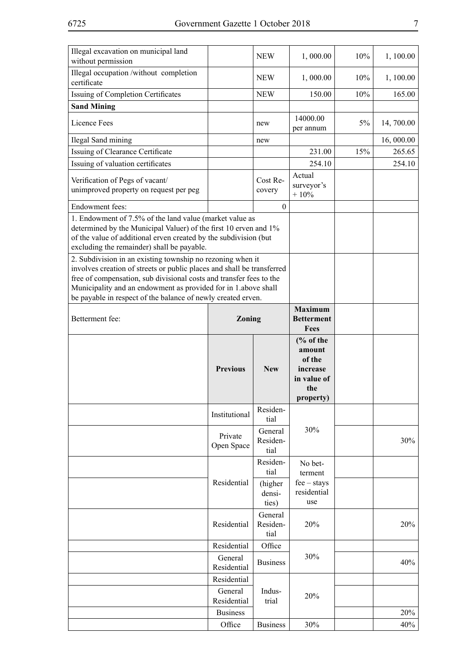| Illegal excavation on municipal land<br>without permission                                                                                                                                                                                                                                                                                                                                                                                                                                                                                                                                     |                        | <b>NEW</b>                  | 1,000.00                                                                                | 10%   | 1, 100.00  |
|------------------------------------------------------------------------------------------------------------------------------------------------------------------------------------------------------------------------------------------------------------------------------------------------------------------------------------------------------------------------------------------------------------------------------------------------------------------------------------------------------------------------------------------------------------------------------------------------|------------------------|-----------------------------|-----------------------------------------------------------------------------------------|-------|------------|
| Illegal occupation /without completion<br>certificate                                                                                                                                                                                                                                                                                                                                                                                                                                                                                                                                          |                        | <b>NEW</b>                  | 1,000.00                                                                                | 10%   | 1, 100.00  |
| Issuing of Completion Certificates                                                                                                                                                                                                                                                                                                                                                                                                                                                                                                                                                             |                        | <b>NEW</b>                  | 150.00                                                                                  | 10%   | 165.00     |
| <b>Sand Mining</b>                                                                                                                                                                                                                                                                                                                                                                                                                                                                                                                                                                             |                        |                             |                                                                                         |       |            |
| Licence Fees                                                                                                                                                                                                                                                                                                                                                                                                                                                                                                                                                                                   |                        | new                         | 14000.00<br>per annum                                                                   | $5\%$ | 14, 700.00 |
| Ilegal Sand mining                                                                                                                                                                                                                                                                                                                                                                                                                                                                                                                                                                             |                        | new                         |                                                                                         |       | 16,000.00  |
| Issuing of Clearance Certificate                                                                                                                                                                                                                                                                                                                                                                                                                                                                                                                                                               |                        |                             | 231.00                                                                                  | 15%   | 265.65     |
| Issuing of valuation certificates                                                                                                                                                                                                                                                                                                                                                                                                                                                                                                                                                              |                        |                             | 254.10                                                                                  |       | 254.10     |
| Verification of Pegs of vacant/<br>unimproved property on request per peg                                                                                                                                                                                                                                                                                                                                                                                                                                                                                                                      |                        | Cost Re-<br>covery          | Actual<br>surveyor's<br>$+10%$                                                          |       |            |
| Endowment fees:                                                                                                                                                                                                                                                                                                                                                                                                                                                                                                                                                                                |                        | $\mathbf{0}$                |                                                                                         |       |            |
| 1. Endowment of 7.5% of the land value (market value as<br>determined by the Municipal Valuer) of the first 10 erven and 1%<br>of the value of additional erven created by the subdivision (but<br>excluding the remainder) shall be payable.<br>2. Subdivision in an existing township no rezoning when it<br>involves creation of streets or public places and shall be transferred<br>free of compensation, sub divisional costs and transfer fees to the<br>Municipality and an endowment as provided for in 1.above shall<br>be payable in respect of the balance of newly created erven. |                        |                             |                                                                                         |       |            |
| Betterment fee:                                                                                                                                                                                                                                                                                                                                                                                                                                                                                                                                                                                | Zoning                 |                             | <b>Maximum</b><br><b>Betterment</b>                                                     |       |            |
|                                                                                                                                                                                                                                                                                                                                                                                                                                                                                                                                                                                                |                        |                             | Fees                                                                                    |       |            |
|                                                                                                                                                                                                                                                                                                                                                                                                                                                                                                                                                                                                | <b>Previous</b>        | <b>New</b>                  | $\frac{6}{6}$ of the<br>amount<br>of the<br>increase<br>in value of<br>the<br>property) |       |            |
|                                                                                                                                                                                                                                                                                                                                                                                                                                                                                                                                                                                                | Institutional          | Residen-<br>tial            |                                                                                         |       |            |
|                                                                                                                                                                                                                                                                                                                                                                                                                                                                                                                                                                                                | Private<br>Open Space  | General<br>Residen-<br>tial | 30%                                                                                     |       | 30%        |
|                                                                                                                                                                                                                                                                                                                                                                                                                                                                                                                                                                                                |                        | Residen-<br>tial            | No bet-<br>terment                                                                      |       |            |
|                                                                                                                                                                                                                                                                                                                                                                                                                                                                                                                                                                                                | Residential            | (higher<br>densi-<br>ties)  | $fee - stays$<br>residential<br>use                                                     |       |            |
|                                                                                                                                                                                                                                                                                                                                                                                                                                                                                                                                                                                                | Residential            | General<br>Residen-<br>tial | 20%                                                                                     |       | 20%        |
|                                                                                                                                                                                                                                                                                                                                                                                                                                                                                                                                                                                                | Residential            | Office                      |                                                                                         |       |            |
|                                                                                                                                                                                                                                                                                                                                                                                                                                                                                                                                                                                                | General<br>Residential | <b>Business</b>             | 30%                                                                                     |       | 40%        |
|                                                                                                                                                                                                                                                                                                                                                                                                                                                                                                                                                                                                | Residential            |                             |                                                                                         |       |            |
|                                                                                                                                                                                                                                                                                                                                                                                                                                                                                                                                                                                                | General<br>Residential | Indus-<br>trial             | 20%                                                                                     |       |            |
|                                                                                                                                                                                                                                                                                                                                                                                                                                                                                                                                                                                                | <b>Business</b>        |                             |                                                                                         |       | 20%        |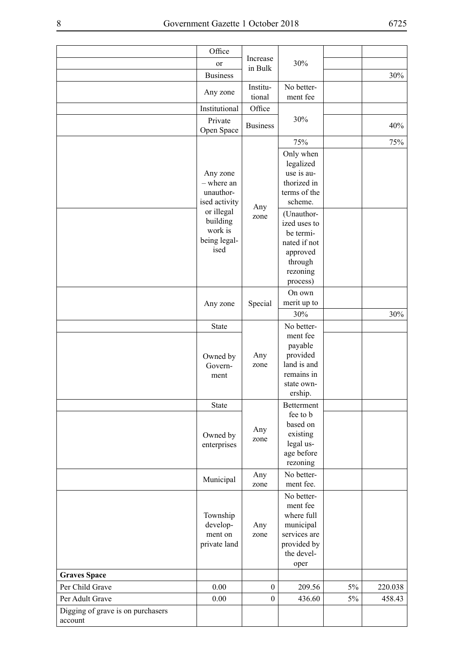|                                              | Office                                                    |                     |                                                                                                        |       |         |
|----------------------------------------------|-----------------------------------------------------------|---------------------|--------------------------------------------------------------------------------------------------------|-------|---------|
|                                              | or                                                        | Increase<br>in Bulk | 30%                                                                                                    |       |         |
|                                              | <b>Business</b>                                           |                     |                                                                                                        |       | 30%     |
|                                              | Any zone                                                  | Institu-<br>tional  | No better-<br>ment fee                                                                                 |       |         |
|                                              | Institutional                                             | Office              |                                                                                                        |       |         |
|                                              | Private<br>Open Space                                     | <b>Business</b>     | 30%                                                                                                    |       | 40%     |
|                                              |                                                           |                     | 75%                                                                                                    |       | 75%     |
|                                              | Any zone<br>- where an<br>unauthor-<br>ised activity      | Any                 | Only when<br>legalized<br>use is au-<br>thorized in<br>terms of the<br>scheme.                         |       |         |
|                                              | or illegal<br>building<br>work is<br>being legal-<br>ised | zone                | (Unauthor-<br>ized uses to<br>be termi-<br>nated if not<br>approved<br>through<br>rezoning<br>process) |       |         |
|                                              | Any zone                                                  | Special             | On own<br>merit up to                                                                                  |       |         |
|                                              |                                                           |                     | 30%                                                                                                    |       | 30%     |
|                                              | State                                                     |                     | No better-<br>ment fee                                                                                 |       |         |
|                                              | Owned by<br>Govern-<br>ment                               | Any<br>zone         | payable<br>provided<br>land is and<br>remains in<br>state own-<br>ership.                              |       |         |
|                                              | State                                                     |                     | Betterment                                                                                             |       |         |
|                                              | Owned by<br>enterprises                                   | Any<br>zone         | fee to b<br>based on<br>existing<br>legal us-<br>age before<br>rezoning                                |       |         |
|                                              | Municipal                                                 | Any<br>zone         | No better-<br>ment fee.                                                                                |       |         |
|                                              | Township<br>develop-<br>ment on<br>private land           | Any<br>zone         | No better-<br>ment fee<br>where full<br>municipal<br>services are<br>provided by<br>the devel-<br>oper |       |         |
| <b>Graves Space</b>                          |                                                           |                     |                                                                                                        |       |         |
| Per Child Grave                              | $0.00\,$                                                  | $\boldsymbol{0}$    | 209.56                                                                                                 | $5\%$ | 220.038 |
| Per Adult Grave                              | 0.00                                                      | $\theta$            | 436.60                                                                                                 | 5%    | 458.43  |
| Digging of grave is on purchasers<br>account |                                                           |                     |                                                                                                        |       |         |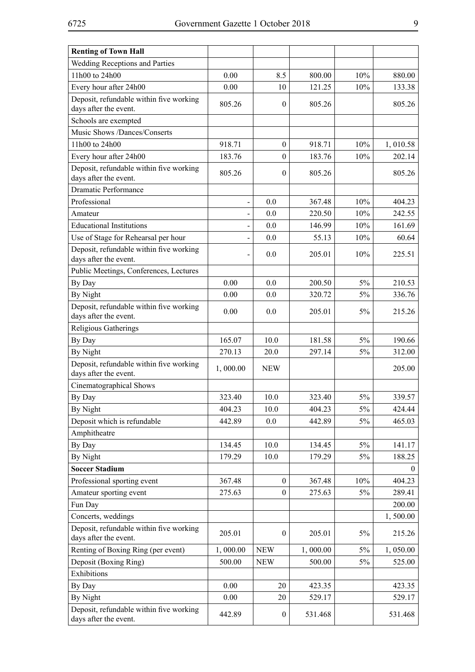| <b>Renting of Town Hall</b>                                      |                          |                  |          |       |          |
|------------------------------------------------------------------|--------------------------|------------------|----------|-------|----------|
| Wedding Receptions and Parties                                   |                          |                  |          |       |          |
| 11h00 to 24h00                                                   | 0.00                     | 8.5              | 800.00   | 10%   | 880.00   |
| Every hour after 24h00                                           | 0.00                     | 10               | 121.25   | 10%   | 133.38   |
| Deposit, refundable within five working<br>days after the event. | 805.26                   | $\mathbf{0}$     | 805.26   |       | 805.26   |
| Schools are exempted                                             |                          |                  |          |       |          |
| Music Shows /Dances/Conserts                                     |                          |                  |          |       |          |
| 11h00 to 24h00                                                   | 918.71                   | $\boldsymbol{0}$ | 918.71   | 10%   | 1,010.58 |
| Every hour after 24h00                                           | 183.76                   | $\theta$         | 183.76   | 10%   | 202.14   |
| Deposit, refundable within five working<br>days after the event. | 805.26                   | $\mathbf{0}$     | 805.26   |       | 805.26   |
| Dramatic Performance                                             |                          |                  |          |       |          |
| Professional                                                     | $\blacksquare$           | 0.0              | 367.48   | 10%   | 404.23   |
| Amateur                                                          | $\overline{\phantom{0}}$ | 0.0              | 220.50   | 10%   | 242.55   |
| <b>Educational Institutions</b>                                  |                          | 0.0              | 146.99   | 10%   | 161.69   |
| Use of Stage for Rehearsal per hour                              | $\blacksquare$           | 0.0              | 55.13    | 10%   | 60.64    |
| Deposit, refundable within five working<br>days after the event. | $\overline{\phantom{a}}$ | 0.0              | 205.01   | 10%   | 225.51   |
| Public Meetings, Conferences, Lectures                           |                          |                  |          |       |          |
| By Day                                                           | 0.00                     | 0.0              | 200.50   | 5%    | 210.53   |
| By Night                                                         | 0.00                     | 0.0              | 320.72   | $5\%$ | 336.76   |
| Deposit, refundable within five working<br>days after the event. | 0.00                     | 0.0              | 205.01   | 5%    | 215.26   |
| Religious Gatherings                                             |                          |                  |          |       |          |
| By Day                                                           | 165.07                   | 10.0             | 181.58   | 5%    | 190.66   |
| By Night                                                         | 270.13                   | 20.0             | 297.14   | $5\%$ | 312.00   |
| Deposit, refundable within five working<br>days after the event. | 1,000.00                 | <b>NEW</b>       |          |       | 205.00   |
| Cinematographical Shows                                          |                          |                  |          |       |          |
| By Day                                                           | 323.40                   | 10.0             | 323.40   | 5%    | 339.57   |
| By Night                                                         | 404.23                   | 10.0             | 404.23   | 5%    | 424.44   |
| Deposit which is refundable                                      | 442.89                   | 0.0              | 442.89   | 5%    | 465.03   |
| Amphitheatre                                                     |                          |                  |          |       |          |
| By Day                                                           | 134.45                   | 10.0             | 134.45   | $5\%$ | 141.17   |
| By Night                                                         | 179.29                   | 10.0             | 179.29   | 5%    | 188.25   |
| <b>Soccer Stadium</b>                                            |                          |                  |          |       | 0        |
| Professional sporting event                                      | 367.48                   | $\theta$         | 367.48   | 10%   | 404.23   |
| Amateur sporting event                                           | 275.63                   | $\boldsymbol{0}$ | 275.63   | 5%    | 289.41   |
| Fun Day                                                          |                          |                  |          |       | 200.00   |
| Concerts, weddings                                               |                          |                  |          |       | 1,500.00 |
| Deposit, refundable within five working<br>days after the event. | 205.01                   | $\mathbf{0}$     | 205.01   | 5%    | 215.26   |
| Renting of Boxing Ring (per event)                               | 1,000.00                 | <b>NEW</b>       | 1,000.00 | $5\%$ | 1,050.00 |
| Deposit (Boxing Ring)                                            | 500.00                   | <b>NEW</b>       | 500.00   | $5\%$ | 525.00   |
| Exhibitions                                                      |                          |                  |          |       |          |
| By Day                                                           | 0.00                     | 20               | 423.35   |       | 423.35   |
| By Night                                                         | 0.00                     | 20               | 529.17   |       | 529.17   |
| Deposit, refundable within five working<br>days after the event. | 442.89                   | $\boldsymbol{0}$ | 531.468  |       | 531.468  |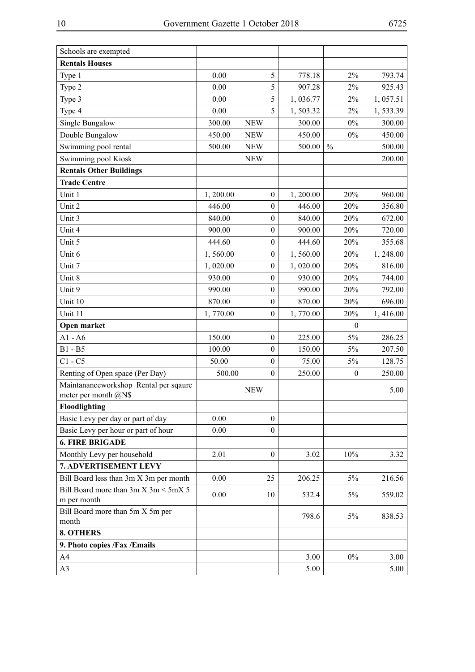| <b>Rentals Houses</b><br>$2\%$<br>Type 1<br>0.00<br>5<br>778.18<br>793.74<br>$2\%$<br>0.00<br>5<br>907.28<br>925.43<br>Type 2<br>5<br>$2\%$<br>0.00<br>1,036.77<br>1,057.51<br>Type 3<br>5<br>0.00<br>$2\%$<br>Type 4<br>1,503.32<br>1,533.39<br>$0\%$<br>Single Bungalow<br>300.00<br><b>NEW</b><br>300.00<br>300.00<br>Double Bungalow<br>450.00<br>450.00<br>$0\%$<br>450.00<br><b>NEW</b><br>$\frac{0}{0}$<br>Swimming pool rental<br>500.00<br>500.00<br>500.00<br><b>NEW</b><br>Swimming pool Kiosk<br>200.00<br><b>NEW</b><br><b>Rentals Other Buildings</b><br><b>Trade Centre</b><br>Unit 1<br>$\boldsymbol{0}$<br>960.00<br>1,200.00<br>1,200.00<br>20%<br>Unit 2<br>446.00<br>$\boldsymbol{0}$<br>446.00<br>20%<br>356.80<br>Unit 3<br>$\boldsymbol{0}$<br>840.00<br>840.00<br>20%<br>672.00<br>Unit 4<br>900.00<br>20%<br>720.00<br>$\boldsymbol{0}$<br>900.00<br>$\boldsymbol{0}$<br>20%<br>Unit 5<br>444.60<br>444.60<br>355.68<br>Unit 6<br>20%<br>1,560.00<br>$\boldsymbol{0}$<br>1,560.00<br>1,248.00<br>Unit 7<br>$\boldsymbol{0}$<br>20%<br>1,020.00<br>816.00<br>1,020.00<br>Unit 8<br>930.00<br>$\boldsymbol{0}$<br>20%<br>930.00<br>744.00<br>Unit 9<br>$\boldsymbol{0}$<br>20%<br>990.00<br>990.00<br>792.00<br>Unit 10<br>870.00<br>870.00<br>20%<br>696.00<br>$\boldsymbol{0}$<br>Unit 11<br>1,770.00<br>$\boldsymbol{0}$<br>1,770.00<br>20%<br>1,416.00<br>Open market<br>$\boldsymbol{0}$<br>$A1 - A6$<br>150.00<br>5%<br>$\boldsymbol{0}$<br>225.00<br>286.25<br>$B1 - B5$<br>100.00<br>5%<br>$\boldsymbol{0}$<br>150.00<br>207.50<br>$C1 - C5$<br>50.00<br>75.00<br>5%<br>128.75<br>$\boldsymbol{0}$<br>Renting of Open space (Per Day)<br>500.00<br>$\boldsymbol{0}$<br>250.00<br>$\boldsymbol{0}$<br>250.00<br>Maintananceworkshop Rental per sqaure<br>5.00<br><b>NEW</b><br>meter per month $@N$$<br>Floodlighting<br>Basic Levy per day or part of day<br>0.00<br>$\boldsymbol{0}$<br>Basic Levy per hour or part of hour<br>0.00<br>$\boldsymbol{0}$<br><b>6. FIRE BRIGADE</b><br>Monthly Levy per household<br>2.01<br>$\boldsymbol{0}$<br>3.02<br>10%<br>3.32<br>7. ADVERTISEMENT LEVY<br>Bill Board less than 3m X 3m per month<br>0.00<br>25<br>206.25<br>5%<br>216.56<br>Bill Board more than $3m \times 3m < 5m \times 5$<br>0.00<br>$5\%$<br>559.02<br>10<br>532.4<br>m per month<br>Bill Board more than 5m X 5m per<br>798.6<br>5%<br>838.53<br>month<br><b>8. OTHERS</b><br>9. Photo copies /Fax /Emails | Schools are exempted |  |      |       |      |
|-------------------------------------------------------------------------------------------------------------------------------------------------------------------------------------------------------------------------------------------------------------------------------------------------------------------------------------------------------------------------------------------------------------------------------------------------------------------------------------------------------------------------------------------------------------------------------------------------------------------------------------------------------------------------------------------------------------------------------------------------------------------------------------------------------------------------------------------------------------------------------------------------------------------------------------------------------------------------------------------------------------------------------------------------------------------------------------------------------------------------------------------------------------------------------------------------------------------------------------------------------------------------------------------------------------------------------------------------------------------------------------------------------------------------------------------------------------------------------------------------------------------------------------------------------------------------------------------------------------------------------------------------------------------------------------------------------------------------------------------------------------------------------------------------------------------------------------------------------------------------------------------------------------------------------------------------------------------------------------------------------------------------------------------------------------------------------------------------------------------------------------------------------------------------------------------------------------------------------------------------------------------------------------------------------------------------------------------------------------------------------------------------------------------------------------------------------|----------------------|--|------|-------|------|
|                                                                                                                                                                                                                                                                                                                                                                                                                                                                                                                                                                                                                                                                                                                                                                                                                                                                                                                                                                                                                                                                                                                                                                                                                                                                                                                                                                                                                                                                                                                                                                                                                                                                                                                                                                                                                                                                                                                                                                                                                                                                                                                                                                                                                                                                                                                                                                                                                                                       |                      |  |      |       |      |
|                                                                                                                                                                                                                                                                                                                                                                                                                                                                                                                                                                                                                                                                                                                                                                                                                                                                                                                                                                                                                                                                                                                                                                                                                                                                                                                                                                                                                                                                                                                                                                                                                                                                                                                                                                                                                                                                                                                                                                                                                                                                                                                                                                                                                                                                                                                                                                                                                                                       |                      |  |      |       |      |
|                                                                                                                                                                                                                                                                                                                                                                                                                                                                                                                                                                                                                                                                                                                                                                                                                                                                                                                                                                                                                                                                                                                                                                                                                                                                                                                                                                                                                                                                                                                                                                                                                                                                                                                                                                                                                                                                                                                                                                                                                                                                                                                                                                                                                                                                                                                                                                                                                                                       |                      |  |      |       |      |
|                                                                                                                                                                                                                                                                                                                                                                                                                                                                                                                                                                                                                                                                                                                                                                                                                                                                                                                                                                                                                                                                                                                                                                                                                                                                                                                                                                                                                                                                                                                                                                                                                                                                                                                                                                                                                                                                                                                                                                                                                                                                                                                                                                                                                                                                                                                                                                                                                                                       |                      |  |      |       |      |
|                                                                                                                                                                                                                                                                                                                                                                                                                                                                                                                                                                                                                                                                                                                                                                                                                                                                                                                                                                                                                                                                                                                                                                                                                                                                                                                                                                                                                                                                                                                                                                                                                                                                                                                                                                                                                                                                                                                                                                                                                                                                                                                                                                                                                                                                                                                                                                                                                                                       |                      |  |      |       |      |
|                                                                                                                                                                                                                                                                                                                                                                                                                                                                                                                                                                                                                                                                                                                                                                                                                                                                                                                                                                                                                                                                                                                                                                                                                                                                                                                                                                                                                                                                                                                                                                                                                                                                                                                                                                                                                                                                                                                                                                                                                                                                                                                                                                                                                                                                                                                                                                                                                                                       |                      |  |      |       |      |
|                                                                                                                                                                                                                                                                                                                                                                                                                                                                                                                                                                                                                                                                                                                                                                                                                                                                                                                                                                                                                                                                                                                                                                                                                                                                                                                                                                                                                                                                                                                                                                                                                                                                                                                                                                                                                                                                                                                                                                                                                                                                                                                                                                                                                                                                                                                                                                                                                                                       |                      |  |      |       |      |
|                                                                                                                                                                                                                                                                                                                                                                                                                                                                                                                                                                                                                                                                                                                                                                                                                                                                                                                                                                                                                                                                                                                                                                                                                                                                                                                                                                                                                                                                                                                                                                                                                                                                                                                                                                                                                                                                                                                                                                                                                                                                                                                                                                                                                                                                                                                                                                                                                                                       |                      |  |      |       |      |
|                                                                                                                                                                                                                                                                                                                                                                                                                                                                                                                                                                                                                                                                                                                                                                                                                                                                                                                                                                                                                                                                                                                                                                                                                                                                                                                                                                                                                                                                                                                                                                                                                                                                                                                                                                                                                                                                                                                                                                                                                                                                                                                                                                                                                                                                                                                                                                                                                                                       |                      |  |      |       |      |
|                                                                                                                                                                                                                                                                                                                                                                                                                                                                                                                                                                                                                                                                                                                                                                                                                                                                                                                                                                                                                                                                                                                                                                                                                                                                                                                                                                                                                                                                                                                                                                                                                                                                                                                                                                                                                                                                                                                                                                                                                                                                                                                                                                                                                                                                                                                                                                                                                                                       |                      |  |      |       |      |
|                                                                                                                                                                                                                                                                                                                                                                                                                                                                                                                                                                                                                                                                                                                                                                                                                                                                                                                                                                                                                                                                                                                                                                                                                                                                                                                                                                                                                                                                                                                                                                                                                                                                                                                                                                                                                                                                                                                                                                                                                                                                                                                                                                                                                                                                                                                                                                                                                                                       |                      |  |      |       |      |
|                                                                                                                                                                                                                                                                                                                                                                                                                                                                                                                                                                                                                                                                                                                                                                                                                                                                                                                                                                                                                                                                                                                                                                                                                                                                                                                                                                                                                                                                                                                                                                                                                                                                                                                                                                                                                                                                                                                                                                                                                                                                                                                                                                                                                                                                                                                                                                                                                                                       |                      |  |      |       |      |
|                                                                                                                                                                                                                                                                                                                                                                                                                                                                                                                                                                                                                                                                                                                                                                                                                                                                                                                                                                                                                                                                                                                                                                                                                                                                                                                                                                                                                                                                                                                                                                                                                                                                                                                                                                                                                                                                                                                                                                                                                                                                                                                                                                                                                                                                                                                                                                                                                                                       |                      |  |      |       |      |
|                                                                                                                                                                                                                                                                                                                                                                                                                                                                                                                                                                                                                                                                                                                                                                                                                                                                                                                                                                                                                                                                                                                                                                                                                                                                                                                                                                                                                                                                                                                                                                                                                                                                                                                                                                                                                                                                                                                                                                                                                                                                                                                                                                                                                                                                                                                                                                                                                                                       |                      |  |      |       |      |
|                                                                                                                                                                                                                                                                                                                                                                                                                                                                                                                                                                                                                                                                                                                                                                                                                                                                                                                                                                                                                                                                                                                                                                                                                                                                                                                                                                                                                                                                                                                                                                                                                                                                                                                                                                                                                                                                                                                                                                                                                                                                                                                                                                                                                                                                                                                                                                                                                                                       |                      |  |      |       |      |
|                                                                                                                                                                                                                                                                                                                                                                                                                                                                                                                                                                                                                                                                                                                                                                                                                                                                                                                                                                                                                                                                                                                                                                                                                                                                                                                                                                                                                                                                                                                                                                                                                                                                                                                                                                                                                                                                                                                                                                                                                                                                                                                                                                                                                                                                                                                                                                                                                                                       |                      |  |      |       |      |
|                                                                                                                                                                                                                                                                                                                                                                                                                                                                                                                                                                                                                                                                                                                                                                                                                                                                                                                                                                                                                                                                                                                                                                                                                                                                                                                                                                                                                                                                                                                                                                                                                                                                                                                                                                                                                                                                                                                                                                                                                                                                                                                                                                                                                                                                                                                                                                                                                                                       |                      |  |      |       |      |
|                                                                                                                                                                                                                                                                                                                                                                                                                                                                                                                                                                                                                                                                                                                                                                                                                                                                                                                                                                                                                                                                                                                                                                                                                                                                                                                                                                                                                                                                                                                                                                                                                                                                                                                                                                                                                                                                                                                                                                                                                                                                                                                                                                                                                                                                                                                                                                                                                                                       |                      |  |      |       |      |
|                                                                                                                                                                                                                                                                                                                                                                                                                                                                                                                                                                                                                                                                                                                                                                                                                                                                                                                                                                                                                                                                                                                                                                                                                                                                                                                                                                                                                                                                                                                                                                                                                                                                                                                                                                                                                                                                                                                                                                                                                                                                                                                                                                                                                                                                                                                                                                                                                                                       |                      |  |      |       |      |
|                                                                                                                                                                                                                                                                                                                                                                                                                                                                                                                                                                                                                                                                                                                                                                                                                                                                                                                                                                                                                                                                                                                                                                                                                                                                                                                                                                                                                                                                                                                                                                                                                                                                                                                                                                                                                                                                                                                                                                                                                                                                                                                                                                                                                                                                                                                                                                                                                                                       |                      |  |      |       |      |
|                                                                                                                                                                                                                                                                                                                                                                                                                                                                                                                                                                                                                                                                                                                                                                                                                                                                                                                                                                                                                                                                                                                                                                                                                                                                                                                                                                                                                                                                                                                                                                                                                                                                                                                                                                                                                                                                                                                                                                                                                                                                                                                                                                                                                                                                                                                                                                                                                                                       |                      |  |      |       |      |
|                                                                                                                                                                                                                                                                                                                                                                                                                                                                                                                                                                                                                                                                                                                                                                                                                                                                                                                                                                                                                                                                                                                                                                                                                                                                                                                                                                                                                                                                                                                                                                                                                                                                                                                                                                                                                                                                                                                                                                                                                                                                                                                                                                                                                                                                                                                                                                                                                                                       |                      |  |      |       |      |
|                                                                                                                                                                                                                                                                                                                                                                                                                                                                                                                                                                                                                                                                                                                                                                                                                                                                                                                                                                                                                                                                                                                                                                                                                                                                                                                                                                                                                                                                                                                                                                                                                                                                                                                                                                                                                                                                                                                                                                                                                                                                                                                                                                                                                                                                                                                                                                                                                                                       |                      |  |      |       |      |
|                                                                                                                                                                                                                                                                                                                                                                                                                                                                                                                                                                                                                                                                                                                                                                                                                                                                                                                                                                                                                                                                                                                                                                                                                                                                                                                                                                                                                                                                                                                                                                                                                                                                                                                                                                                                                                                                                                                                                                                                                                                                                                                                                                                                                                                                                                                                                                                                                                                       |                      |  |      |       |      |
|                                                                                                                                                                                                                                                                                                                                                                                                                                                                                                                                                                                                                                                                                                                                                                                                                                                                                                                                                                                                                                                                                                                                                                                                                                                                                                                                                                                                                                                                                                                                                                                                                                                                                                                                                                                                                                                                                                                                                                                                                                                                                                                                                                                                                                                                                                                                                                                                                                                       |                      |  |      |       |      |
|                                                                                                                                                                                                                                                                                                                                                                                                                                                                                                                                                                                                                                                                                                                                                                                                                                                                                                                                                                                                                                                                                                                                                                                                                                                                                                                                                                                                                                                                                                                                                                                                                                                                                                                                                                                                                                                                                                                                                                                                                                                                                                                                                                                                                                                                                                                                                                                                                                                       |                      |  |      |       |      |
|                                                                                                                                                                                                                                                                                                                                                                                                                                                                                                                                                                                                                                                                                                                                                                                                                                                                                                                                                                                                                                                                                                                                                                                                                                                                                                                                                                                                                                                                                                                                                                                                                                                                                                                                                                                                                                                                                                                                                                                                                                                                                                                                                                                                                                                                                                                                                                                                                                                       |                      |  |      |       |      |
|                                                                                                                                                                                                                                                                                                                                                                                                                                                                                                                                                                                                                                                                                                                                                                                                                                                                                                                                                                                                                                                                                                                                                                                                                                                                                                                                                                                                                                                                                                                                                                                                                                                                                                                                                                                                                                                                                                                                                                                                                                                                                                                                                                                                                                                                                                                                                                                                                                                       |                      |  |      |       |      |
|                                                                                                                                                                                                                                                                                                                                                                                                                                                                                                                                                                                                                                                                                                                                                                                                                                                                                                                                                                                                                                                                                                                                                                                                                                                                                                                                                                                                                                                                                                                                                                                                                                                                                                                                                                                                                                                                                                                                                                                                                                                                                                                                                                                                                                                                                                                                                                                                                                                       |                      |  |      |       |      |
|                                                                                                                                                                                                                                                                                                                                                                                                                                                                                                                                                                                                                                                                                                                                                                                                                                                                                                                                                                                                                                                                                                                                                                                                                                                                                                                                                                                                                                                                                                                                                                                                                                                                                                                                                                                                                                                                                                                                                                                                                                                                                                                                                                                                                                                                                                                                                                                                                                                       |                      |  |      |       |      |
|                                                                                                                                                                                                                                                                                                                                                                                                                                                                                                                                                                                                                                                                                                                                                                                                                                                                                                                                                                                                                                                                                                                                                                                                                                                                                                                                                                                                                                                                                                                                                                                                                                                                                                                                                                                                                                                                                                                                                                                                                                                                                                                                                                                                                                                                                                                                                                                                                                                       |                      |  |      |       |      |
|                                                                                                                                                                                                                                                                                                                                                                                                                                                                                                                                                                                                                                                                                                                                                                                                                                                                                                                                                                                                                                                                                                                                                                                                                                                                                                                                                                                                                                                                                                                                                                                                                                                                                                                                                                                                                                                                                                                                                                                                                                                                                                                                                                                                                                                                                                                                                                                                                                                       |                      |  |      |       |      |
|                                                                                                                                                                                                                                                                                                                                                                                                                                                                                                                                                                                                                                                                                                                                                                                                                                                                                                                                                                                                                                                                                                                                                                                                                                                                                                                                                                                                                                                                                                                                                                                                                                                                                                                                                                                                                                                                                                                                                                                                                                                                                                                                                                                                                                                                                                                                                                                                                                                       |                      |  |      |       |      |
|                                                                                                                                                                                                                                                                                                                                                                                                                                                                                                                                                                                                                                                                                                                                                                                                                                                                                                                                                                                                                                                                                                                                                                                                                                                                                                                                                                                                                                                                                                                                                                                                                                                                                                                                                                                                                                                                                                                                                                                                                                                                                                                                                                                                                                                                                                                                                                                                                                                       |                      |  |      |       |      |
|                                                                                                                                                                                                                                                                                                                                                                                                                                                                                                                                                                                                                                                                                                                                                                                                                                                                                                                                                                                                                                                                                                                                                                                                                                                                                                                                                                                                                                                                                                                                                                                                                                                                                                                                                                                                                                                                                                                                                                                                                                                                                                                                                                                                                                                                                                                                                                                                                                                       |                      |  |      |       |      |
|                                                                                                                                                                                                                                                                                                                                                                                                                                                                                                                                                                                                                                                                                                                                                                                                                                                                                                                                                                                                                                                                                                                                                                                                                                                                                                                                                                                                                                                                                                                                                                                                                                                                                                                                                                                                                                                                                                                                                                                                                                                                                                                                                                                                                                                                                                                                                                                                                                                       |                      |  |      |       |      |
|                                                                                                                                                                                                                                                                                                                                                                                                                                                                                                                                                                                                                                                                                                                                                                                                                                                                                                                                                                                                                                                                                                                                                                                                                                                                                                                                                                                                                                                                                                                                                                                                                                                                                                                                                                                                                                                                                                                                                                                                                                                                                                                                                                                                                                                                                                                                                                                                                                                       |                      |  |      |       |      |
|                                                                                                                                                                                                                                                                                                                                                                                                                                                                                                                                                                                                                                                                                                                                                                                                                                                                                                                                                                                                                                                                                                                                                                                                                                                                                                                                                                                                                                                                                                                                                                                                                                                                                                                                                                                                                                                                                                                                                                                                                                                                                                                                                                                                                                                                                                                                                                                                                                                       |                      |  |      |       |      |
|                                                                                                                                                                                                                                                                                                                                                                                                                                                                                                                                                                                                                                                                                                                                                                                                                                                                                                                                                                                                                                                                                                                                                                                                                                                                                                                                                                                                                                                                                                                                                                                                                                                                                                                                                                                                                                                                                                                                                                                                                                                                                                                                                                                                                                                                                                                                                                                                                                                       |                      |  |      |       |      |
|                                                                                                                                                                                                                                                                                                                                                                                                                                                                                                                                                                                                                                                                                                                                                                                                                                                                                                                                                                                                                                                                                                                                                                                                                                                                                                                                                                                                                                                                                                                                                                                                                                                                                                                                                                                                                                                                                                                                                                                                                                                                                                                                                                                                                                                                                                                                                                                                                                                       | A4                   |  | 3.00 | $0\%$ | 3.00 |
| A <sub>3</sub><br>5.00<br>5.00                                                                                                                                                                                                                                                                                                                                                                                                                                                                                                                                                                                                                                                                                                                                                                                                                                                                                                                                                                                                                                                                                                                                                                                                                                                                                                                                                                                                                                                                                                                                                                                                                                                                                                                                                                                                                                                                                                                                                                                                                                                                                                                                                                                                                                                                                                                                                                                                                        |                      |  |      |       |      |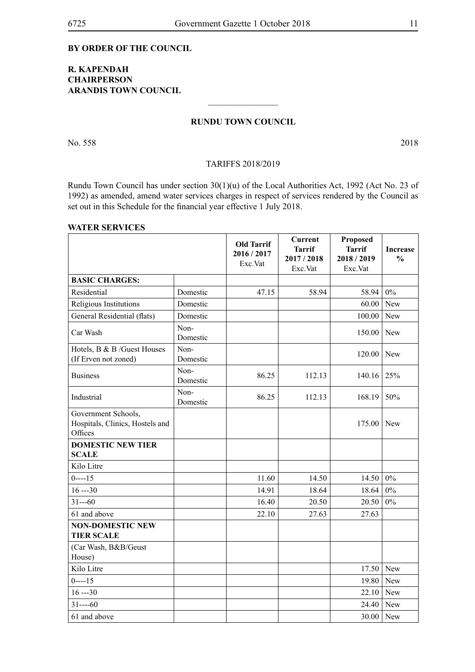#### **By order of the Council**

### **R. Kapendah Chairperson Arandis Town Council**

#### **Rundu TOWN COUNCIL**

 $\overline{\phantom{a}}$  , where  $\overline{\phantom{a}}$ 

No. 558 2018

#### TARIFFS 2018/2019

Rundu Town Council has under section 30(1)(u) of the Local Authorities Act, 1992 (Act No. 23 of 1992) as amended, amend water services charges in respect of services rendered by the Council as set out in this Schedule for the financial year effective 1 July 2018.

#### **WATER SERVICES**

|                                                                   |                  | <b>Old Tarrif</b><br>2016/2017<br>Exc.Vat | <b>Current</b><br><b>Tarrif</b><br>2017/2018<br>Exc.Vat | Proposed<br><b>Tarrif</b><br>2018/2019<br>Exc.Vat | <b>Increase</b><br>$\frac{0}{0}$ |
|-------------------------------------------------------------------|------------------|-------------------------------------------|---------------------------------------------------------|---------------------------------------------------|----------------------------------|
| <b>BASIC CHARGES:</b>                                             |                  |                                           |                                                         |                                                   |                                  |
| Residential                                                       | Domestic         | 47.15                                     | 58.94                                                   | 58.94                                             | $0\%$                            |
| Religious Institutions                                            | Domestic         |                                           |                                                         | 60.00                                             | New                              |
| General Residential (flats)                                       | Domestic         |                                           |                                                         | 100.00                                            | New                              |
| Car Wash                                                          | Non-<br>Domestic |                                           |                                                         | 150.00                                            | New                              |
| Hotels, B & B /Guest Houses<br>(If Erven not zoned)               | Non-<br>Domestic |                                           |                                                         | 120.00                                            | New                              |
| <b>Business</b>                                                   | Non-<br>Domestic | 86.25                                     | 112.13                                                  | 140.16                                            | 25%                              |
| Industrial                                                        | Non-<br>Domestic | 86.25                                     | 112.13                                                  | 168.19                                            | 50%                              |
| Government Schools,<br>Hospitals, Clinics, Hostels and<br>Offices |                  |                                           |                                                         | 175.00                                            | New                              |
| <b>DOMESTIC NEW TIER</b><br><b>SCALE</b>                          |                  |                                           |                                                         |                                                   |                                  |
| Kilo Litre                                                        |                  |                                           |                                                         |                                                   |                                  |
| $0$ ----15                                                        |                  | 11.60                                     | 14.50                                                   | 14.50                                             | $0\%$                            |
| $16 - 30$                                                         |                  | 14.91                                     | 18.64                                                   | 18.64                                             | $0\%$                            |
| $31--60$                                                          |                  | 16.40                                     | 20.50                                                   | 20.50                                             | $0\%$                            |
| 61 and above                                                      |                  | 22.10                                     | 27.63                                                   | 27.63                                             |                                  |
| <b>NON-DOMESTIC NEW</b><br><b>TIER SCALE</b>                      |                  |                                           |                                                         |                                                   |                                  |
| (Car Wash, B&B/Geust<br>House)                                    |                  |                                           |                                                         |                                                   |                                  |
| Kilo Litre                                                        |                  |                                           |                                                         | 17.50                                             | <b>New</b>                       |
| $0$ ----15                                                        |                  |                                           |                                                         | 19.80                                             | <b>New</b>                       |
| $16 - 30$                                                         |                  |                                           |                                                         | 22.10                                             | New                              |
| $31---60$                                                         |                  |                                           |                                                         | 24.40                                             | New                              |
| 61 and above                                                      |                  |                                           |                                                         | 30.00                                             | New                              |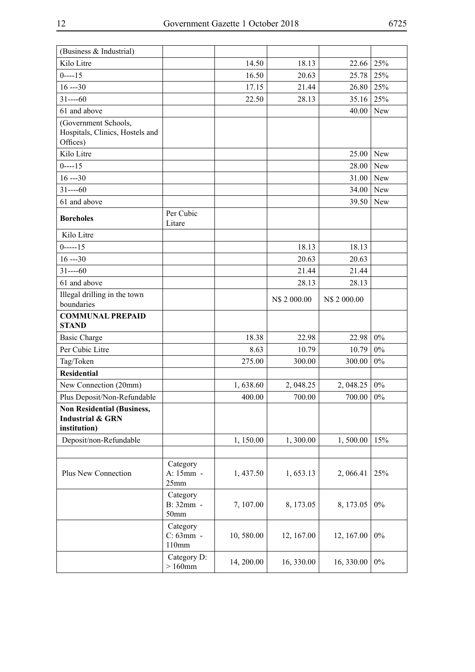| (Business & Industrial)                                               |                                |            |              |              |       |
|-----------------------------------------------------------------------|--------------------------------|------------|--------------|--------------|-------|
| Kilo Litre                                                            |                                | 14.50      | 18.13        | 22.66        | 25%   |
| $0$ ----15                                                            |                                | 16.50      | 20.63        | 25.78        | 25%   |
| $16 - 30$                                                             |                                | 17.15      | 21.44        | 26.80        | 25%   |
| $31---60$                                                             |                                | 22.50      | 28.13        | 35.16        | 25%   |
| 61 and above                                                          |                                |            |              | 40.00        | New   |
| (Government Schools,<br>Hospitals, Clinics, Hostels and<br>Offices)   |                                |            |              |              |       |
| Kilo Litre                                                            |                                |            |              | 25.00        | New   |
| $0---15$                                                              |                                |            |              | 28.00        | New   |
| $16 - 30$                                                             |                                |            |              | 31.00        | New   |
| $31---60$                                                             |                                |            |              | 34.00        | New   |
| 61 and above                                                          |                                |            |              | 39.50        | New   |
| <b>Boreholes</b>                                                      | Per Cubic<br>Litare            |            |              |              |       |
| Kilo Litre                                                            |                                |            |              |              |       |
| $0$ -----15                                                           |                                |            | 18.13        | 18.13        |       |
| $16 - 30$                                                             |                                |            | 20.63        | 20.63        |       |
| $31---60$                                                             |                                |            | 21.44        | 21.44        |       |
| 61 and above                                                          |                                |            | 28.13        | 28.13        |       |
| Illegal drilling in the town<br>boundaries                            |                                |            | N\$ 2 000.00 | N\$ 2 000.00 |       |
| <b>COMMUNAL PREPAID</b><br><b>STAND</b>                               |                                |            |              |              |       |
| <b>Basic Charge</b>                                                   |                                | 18.38      | 22.98        | 22.98        | $0\%$ |
| Per Cubic Litre                                                       |                                | 8.63       | 10.79        | 10.79        | $0\%$ |
| Tag/Token                                                             |                                | 275.00     | 300.00       | 300.00       | $0\%$ |
| <b>Residential</b>                                                    |                                |            |              |              |       |
| New Connection (20mm)                                                 |                                | 1,638.60   | 2, 048.25    | 2, 048.25    | $0\%$ |
| Plus Deposit/Non-Refundable                                           |                                | 400.00     | 700.00       | 700.00       | $0\%$ |
| <b>Non Residential (Business,</b><br>Industrial & GRN<br>institution) |                                |            |              |              |       |
| Deposit/non-Refundable                                                |                                | 1,150.00   | 1,300.00     | 1,500.00     | 15%   |
|                                                                       |                                |            |              |              |       |
| Plus New Connection                                                   | Category<br>A: 15mm -<br>25mm  | 1,437.50   | 1,653.13     | 2,066.41     | 25%   |
|                                                                       | Category<br>B: 32mm -<br>50mm  | 7,107.00   | 8, 173.05    | 8, 173.05    | $0\%$ |
|                                                                       | Category<br>C: 63mm -<br>110mm | 10,580.00  | 12, 167.00   | 12, 167.00   | $0\%$ |
|                                                                       | Category D:<br>$>160$ mm       | 14, 200.00 | 16, 330.00   | 16, 330.00   | $0\%$ |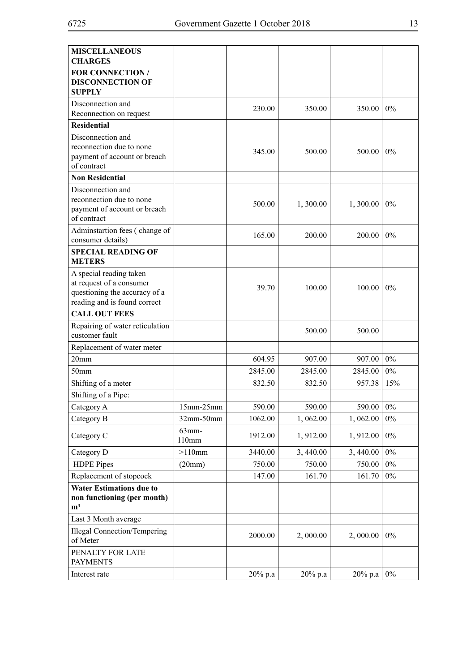| <b>MISCELLANEOUS</b><br><b>CHARGES</b>                                                                               |                |         |            |            |       |
|----------------------------------------------------------------------------------------------------------------------|----------------|---------|------------|------------|-------|
| <b>FOR CONNECTION /</b><br><b>DISCONNECTION OF</b><br><b>SUPPLY</b>                                                  |                |         |            |            |       |
| Disconnection and<br>Reconnection on request                                                                         |                | 230.00  | 350.00     | 350.00     | $0\%$ |
| <b>Residential</b>                                                                                                   |                |         |            |            |       |
| Disconnection and<br>reconnection due to none<br>payment of account or breach<br>of contract                         |                | 345.00  | 500.00     | 500.00     | 0%    |
| <b>Non Residential</b>                                                                                               |                |         |            |            |       |
| Disconnection and<br>reconnection due to none<br>payment of account or breach<br>of contract                         |                | 500.00  | 1,300.00   | 1,300.00   | 0%    |
| Adminstartion fees (change of<br>consumer details)                                                                   |                | 165.00  | 200.00     | 200.00     | $0\%$ |
| <b>SPECIAL READING OF</b><br><b>METERS</b>                                                                           |                |         |            |            |       |
| A special reading taken<br>at request of a consumer<br>questioning the accuracy of a<br>reading and is found correct |                | 39.70   | 100.00     | 100.00     | 0%    |
| <b>CALL OUT FEES</b>                                                                                                 |                |         |            |            |       |
| Repairing of water reticulation<br>customer fault                                                                    |                |         | 500.00     | 500.00     |       |
| Replacement of water meter                                                                                           |                |         |            |            |       |
| 20 <sub>mm</sub>                                                                                                     |                | 604.95  | 907.00     | 907.00     | $0\%$ |
| 50 <sub>mm</sub>                                                                                                     |                | 2845.00 | 2845.00    | 2845.00    | $0\%$ |
| Shifting of a meter                                                                                                  |                | 832.50  | 832.50     | 957.38     | 15%   |
| Shifting of a Pipe:                                                                                                  |                |         |            |            |       |
| Category A                                                                                                           | $15mm-25mm$    | 590.00  | 590.00     | 590.00     | $0\%$ |
| Category B                                                                                                           | 32mm-50mm      | 1062.00 | 1,062.00   | 1,062.00   | $0\%$ |
| Category C                                                                                                           | 63mm-<br>110mm | 1912.00 | 1,912.00   | 1, 912.00  | $0\%$ |
| Category D                                                                                                           | $>110$ mm      | 3440.00 | 3,440.00   | 3,440.00   | $0\%$ |
| <b>HDPE</b> Pipes                                                                                                    | (20mm)         | 750.00  | 750.00     | 750.00     | $0\%$ |
| Replacement of stopcock                                                                                              |                | 147.00  | 161.70     | 161.70     | $0\%$ |
| <b>Water Estimations due to</b><br>non functioning (per month)<br>m <sup>3</sup>                                     |                |         |            |            |       |
| Last 3 Month average                                                                                                 |                |         |            |            |       |
| <b>Illegal Connection/Tempering</b><br>of Meter                                                                      |                | 2000.00 | 2,000.00   | 2,000.00   | $0\%$ |
| PENALTY FOR LATE<br><b>PAYMENTS</b>                                                                                  |                |         |            |            |       |
| Interest rate                                                                                                        |                | 20% p.a | $20\%$ p.a | $20\%$ p.a | $0\%$ |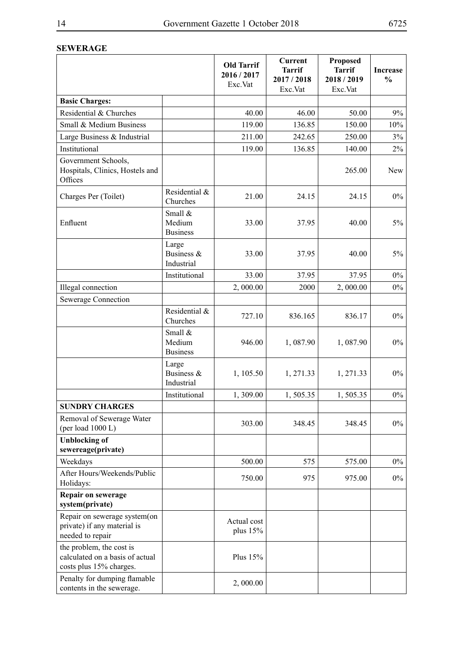## **SEWERAGE**

|                                                                                        |                                      | <b>Old Tarrif</b><br>2016 / 2017<br>Exc.Vat | Current<br><b>Tarrif</b><br>2017/2018<br>Exc.Vat | <b>Proposed</b><br><b>Tarrif</b><br>2018/2019<br>Exc.Vat | <b>Increase</b><br>$\frac{0}{0}$ |
|----------------------------------------------------------------------------------------|--------------------------------------|---------------------------------------------|--------------------------------------------------|----------------------------------------------------------|----------------------------------|
| <b>Basic Charges:</b>                                                                  |                                      |                                             |                                                  |                                                          |                                  |
| Residential & Churches                                                                 |                                      | 40.00                                       | 46.00                                            | 50.00                                                    | 9%                               |
| Small & Medium Business                                                                |                                      | 119.00                                      | 136.85                                           | 150.00                                                   | 10%                              |
| Large Business & Industrial                                                            |                                      | 211.00                                      | 242.65                                           | 250.00                                                   | 3%                               |
| Institutional                                                                          |                                      | 119.00                                      | 136.85                                           | 140.00                                                   | $2\%$                            |
| Government Schools,<br>Hospitals, Clinics, Hostels and<br>Offices                      |                                      |                                             |                                                  | 265.00                                                   | New                              |
| Charges Per (Toilet)                                                                   | Residential &<br>Churches            | 21.00                                       | 24.15                                            | 24.15                                                    | $0\%$                            |
| Enfluent                                                                               | Small &<br>Medium<br><b>Business</b> | 33.00                                       | 37.95                                            | 40.00                                                    | $5\%$                            |
|                                                                                        | Large<br>Business &<br>Industrial    | 33.00                                       | 37.95                                            | 40.00                                                    | $5\%$                            |
|                                                                                        | Institutional                        | 33.00                                       | 37.95                                            | 37.95                                                    | $0\%$                            |
| Illegal connection                                                                     |                                      | 2,000.00                                    | 2000                                             | 2,000.00                                                 | $0\%$                            |
| Sewerage Connection                                                                    |                                      |                                             |                                                  |                                                          |                                  |
|                                                                                        | Residential &<br>Churches            | 727.10                                      | 836.165                                          | 836.17                                                   | $0\%$                            |
|                                                                                        | Small &<br>Medium<br><b>Business</b> | 946.00                                      | 1,087.90                                         | 1,087.90                                                 | $0\%$                            |
|                                                                                        | Large<br>Business &<br>Industrial    | 1, 105.50                                   | 1, 271.33                                        | 1, 271.33                                                | $0\%$                            |
|                                                                                        | Institutional                        | 1,309.00                                    | 1,505.35                                         | 1,505.35                                                 | $0\%$                            |
| <b>SUNDRY CHARGES</b>                                                                  |                                      |                                             |                                                  |                                                          |                                  |
| Removal of Sewerage Water<br>(per load 1000 L)                                         |                                      | 303.00                                      | 348.45                                           | 348.45                                                   | $0\%$                            |
| <b>Unblocking of</b><br>sewereage(private)                                             |                                      |                                             |                                                  |                                                          |                                  |
| Weekdays                                                                               |                                      | 500.00                                      | 575                                              | 575.00                                                   | $0\%$                            |
| After Hours/Weekends/Public<br>Holidays:                                               |                                      | 750.00                                      | 975                                              | 975.00                                                   | $0\%$                            |
| Repair on sewerage<br>system(private)                                                  |                                      |                                             |                                                  |                                                          |                                  |
| Repair on sewerage system(on<br>private) if any material is<br>needed to repair        |                                      | Actual cost<br>plus $15%$                   |                                                  |                                                          |                                  |
| the problem, the cost is<br>calculated on a basis of actual<br>costs plus 15% charges. |                                      | Plus 15%                                    |                                                  |                                                          |                                  |
| Penalty for dumping flamable<br>contents in the sewerage.                              |                                      | 2,000.00                                    |                                                  |                                                          |                                  |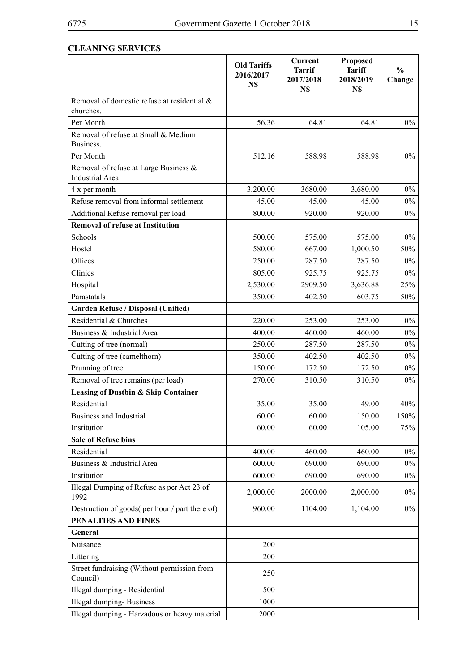## **CLEANING SERVICES**

|                                                                 | <b>Old Tariffs</b><br>2016/2017<br>N\$ | <b>Current</b><br><b>Tarrif</b><br>2017/2018<br>N\$ | <b>Proposed</b><br><b>Tariff</b><br>2018/2019<br>N\$ | $\frac{0}{0}$<br>Change |
|-----------------------------------------------------------------|----------------------------------------|-----------------------------------------------------|------------------------------------------------------|-------------------------|
| Removal of domestic refuse at residential &<br>churches.        |                                        |                                                     |                                                      |                         |
| Per Month                                                       | 56.36                                  | 64.81                                               | 64.81                                                | $0\%$                   |
| Removal of refuse at Small & Medium<br>Business.                |                                        |                                                     |                                                      |                         |
| Per Month                                                       | 512.16                                 | 588.98                                              | 588.98                                               | $0\%$                   |
| Removal of refuse at Large Business &<br><b>Industrial Area</b> |                                        |                                                     |                                                      |                         |
| 4 x per month                                                   | 3,200.00                               | 3680.00                                             | 3,680.00                                             | $0\%$                   |
| Refuse removal from informal settlement                         | 45.00                                  | 45.00                                               | 45.00                                                | $0\%$                   |
| Additional Refuse removal per load                              | 800.00                                 | 920.00                                              | 920.00                                               | $0\%$                   |
| <b>Removal of refuse at Institution</b>                         |                                        |                                                     |                                                      |                         |
| Schools                                                         | 500.00                                 | 575.00                                              | 575.00                                               | $0\%$                   |
| Hostel                                                          | 580.00                                 | 667.00                                              | 1,000.50                                             | 50%                     |
| Offices                                                         | 250.00                                 | 287.50                                              | 287.50                                               | $0\%$                   |
| Clinics                                                         | 805.00                                 | 925.75                                              | 925.75                                               | $0\%$                   |
| Hospital                                                        | 2,530.00                               | 2909.50                                             | 3,636.88                                             | 25%                     |
| Parastatals                                                     | 350.00                                 | 402.50                                              | 603.75                                               | 50%                     |
| <b>Garden Refuse / Disposal (Unified)</b>                       |                                        |                                                     |                                                      |                         |
| Residential & Churches                                          | 220.00                                 | 253.00                                              | 253.00                                               | $0\%$                   |
| Business & Industrial Area                                      | 400.00                                 | 460.00                                              | 460.00                                               | $0\%$                   |
| Cutting of tree (normal)                                        | 250.00                                 | 287.50                                              | 287.50                                               | $0\%$                   |
| Cutting of tree (camelthorn)                                    | 350.00                                 | 402.50                                              | 402.50                                               | $0\%$                   |
| Prunning of tree                                                | 150.00                                 | 172.50                                              | 172.50                                               | $0\%$                   |
| Removal of tree remains (per load)                              | 270.00                                 | 310.50                                              | 310.50                                               | $0\%$                   |
| <b>Leasing of Dustbin &amp; Skip Container</b>                  |                                        |                                                     |                                                      |                         |
| Residential                                                     | 35.00                                  | 35.00                                               | 49.00                                                | 40%                     |
| Business and Industrial                                         | 60.00                                  | 60.00                                               | 150.00                                               | 150%                    |
| Institution                                                     | 60.00                                  | 60.00                                               | 105.00                                               | 75%                     |
| <b>Sale of Refuse bins</b>                                      |                                        |                                                     |                                                      |                         |
| Residential                                                     | 400.00                                 | 460.00                                              | 460.00                                               | $0\%$                   |
| Business & Industrial Area                                      | 600.00                                 | 690.00                                              | 690.00                                               | $0\%$                   |
| Institution                                                     | 600.00                                 | 690.00                                              | 690.00                                               | $0\%$                   |
| Illegal Dumping of Refuse as per Act 23 of<br>1992              | 2,000.00                               | 2000.00                                             | 2,000.00                                             | $0\%$                   |
| Destruction of goods( per hour / part there of)                 | 960.00                                 | 1104.00                                             | 1,104.00                                             | $0\%$                   |
| PENALTIES AND FINES                                             |                                        |                                                     |                                                      |                         |
| General                                                         |                                        |                                                     |                                                      |                         |
| Nuisance                                                        | 200                                    |                                                     |                                                      |                         |
| Littering                                                       | 200                                    |                                                     |                                                      |                         |
| Street fundraising (Without permission from<br>Council)         | 250                                    |                                                     |                                                      |                         |
| Illegal dumping - Residential                                   | 500                                    |                                                     |                                                      |                         |
| <b>Illegal dumping-Business</b>                                 | 1000                                   |                                                     |                                                      |                         |
| Illegal dumping - Harzadous or heavy material                   | 2000                                   |                                                     |                                                      |                         |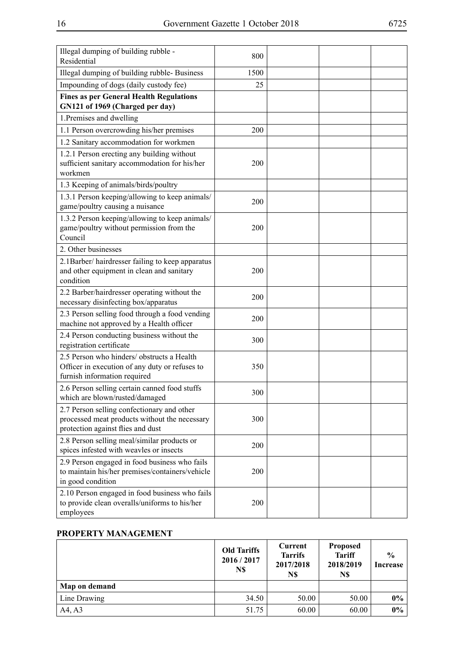| Illegal dumping of building rubble -<br>Residential                                                                              | 800  |  |  |
|----------------------------------------------------------------------------------------------------------------------------------|------|--|--|
| Illegal dumping of building rubble-Business                                                                                      | 1500 |  |  |
| Impounding of dogs (daily custody fee)                                                                                           | 25   |  |  |
| <b>Fines as per General Health Regulations</b><br>GN121 of 1969 (Charged per day)                                                |      |  |  |
| 1. Premises and dwelling                                                                                                         |      |  |  |
| 1.1 Person overcrowding his/her premises                                                                                         | 200  |  |  |
| 1.2 Sanitary accommodation for workmen                                                                                           |      |  |  |
| 1.2.1 Person erecting any building without<br>sufficient sanitary accommodation for his/her<br>workmen                           | 200  |  |  |
| 1.3 Keeping of animals/birds/poultry                                                                                             |      |  |  |
| 1.3.1 Person keeping/allowing to keep animals/<br>game/poultry causing a nuisance                                                | 200  |  |  |
| 1.3.2 Person keeping/allowing to keep animals/<br>game/poultry without permission from the<br>Council                            | 200  |  |  |
| 2. Other businesses                                                                                                              |      |  |  |
| 2.1Barber/hairdresser failing to keep apparatus<br>and other equipment in clean and sanitary<br>condition                        | 200  |  |  |
| 2.2 Barber/hairdresser operating without the<br>necessary disinfecting box/apparatus                                             | 200  |  |  |
| 2.3 Person selling food through a food vending<br>machine not approved by a Health officer                                       | 200  |  |  |
| 2.4 Person conducting business without the<br>registration certificate                                                           | 300  |  |  |
| 2.5 Person who hinders/obstructs a Health<br>Officer in execution of any duty or refuses to<br>furnish information required      | 350  |  |  |
| 2.6 Person selling certain canned food stuffs<br>which are blown/rusted/damaged                                                  | 300  |  |  |
| 2.7 Person selling confectionary and other<br>processed meat products without the necessary<br>protection against flies and dust | 300  |  |  |
| 2.8 Person selling meal/similar products or<br>spices infested with weavles or insects                                           | 200  |  |  |
| 2.9 Person engaged in food business who fails<br>to maintain his/her premises/containers/vehicle<br>in good condition            | 200  |  |  |
| 2.10 Person engaged in food business who fails<br>to provide clean overalls/uniforms to his/her<br>employees                     | 200  |  |  |

## **PROPERTY MANAGEMENT**

|               | <b>Old Tariffs</b><br>2016 / 2017<br>N\$ | Current<br><b>Tarrifs</b><br>2017/2018<br>N\$ | <b>Proposed</b><br><b>Tariff</b><br>2018/2019<br>N\$ | $\frac{0}{0}$<br>Increase |
|---------------|------------------------------------------|-----------------------------------------------|------------------------------------------------------|---------------------------|
| Map on demand |                                          |                                               |                                                      |                           |
| Line Drawing  | 34.50                                    | 50.00                                         | 50.00                                                | $0\%$                     |
| A4, A3        | 51.75                                    | 60.00                                         | 60.00                                                | $0\%$                     |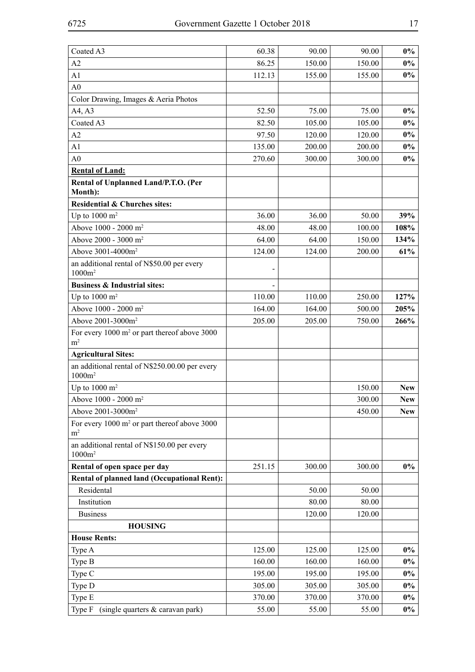| Coated A3                                                                  | 60.38  | 90.00  | 90.00  | $0\%$      |
|----------------------------------------------------------------------------|--------|--------|--------|------------|
| A2                                                                         | 86.25  | 150.00 | 150.00 | $0\%$      |
| A1                                                                         | 112.13 | 155.00 | 155.00 | $0\%$      |
| A <sub>0</sub>                                                             |        |        |        |            |
| Color Drawing, Images & Aeria Photos                                       |        |        |        |            |
| A4, A3                                                                     | 52.50  | 75.00  | 75.00  | $0\%$      |
| Coated A3                                                                  | 82.50  | 105.00 | 105.00 | $0\%$      |
| A2                                                                         | 97.50  | 120.00 | 120.00 | $0\%$      |
| A1                                                                         | 135.00 | 200.00 | 200.00 | $0\%$      |
| A <sub>0</sub>                                                             | 270.60 | 300.00 | 300.00 | $0\%$      |
| <b>Rental of Land:</b>                                                     |        |        |        |            |
| Rental of Unplanned Land/P.T.O. (Per                                       |        |        |        |            |
| Month):                                                                    |        |        |        |            |
| <b>Residential &amp; Churches sites:</b>                                   |        |        |        |            |
| Up to $1000 \text{ m}^2$                                                   | 36.00  | 36.00  | 50.00  | 39%        |
| Above 1000 - 2000 m <sup>2</sup>                                           | 48.00  | 48.00  | 100.00 | 108%       |
| Above 2000 - 3000 m <sup>2</sup>                                           | 64.00  | 64.00  | 150.00 | 134%       |
| Above 3001-4000m <sup>2</sup>                                              | 124.00 | 124.00 | 200.00 | 61%        |
| an additional rental of N\$50.00 per every<br>$1000m^2$                    |        |        |        |            |
| <b>Business &amp; Industrial sites:</b>                                    |        |        |        |            |
| Up to $1000 \text{ m}^2$                                                   | 110.00 | 110.00 | 250.00 | 127%       |
| Above 1000 - 2000 m <sup>2</sup>                                           | 164.00 | 164.00 | 500.00 | 205%       |
| Above 2001-3000m <sup>2</sup>                                              | 205.00 | 205.00 | 750.00 | 266%       |
| For every 1000 m <sup>2</sup> or part thereof above 3000<br>m <sup>2</sup> |        |        |        |            |
| <b>Agricultural Sites:</b>                                                 |        |        |        |            |
| an additional rental of N\$250.00.00 per every<br>$1000m^2$                |        |        |        |            |
| Up to $1000 \text{ m}^2$                                                   |        |        | 150.00 | <b>New</b> |
| Above 1000 - 2000 m <sup>2</sup>                                           |        |        | 300.00 | <b>New</b> |
| Above 2001-3000m <sup>2</sup>                                              |        |        | 450.00 | <b>New</b> |
| For every $1000 \text{ m}^2$ or part thereof above 3000<br>$\rm m^2$       |        |        |        |            |
| an additional rental of N\$150.00 per every<br>$1000m^2$                   |        |        |        |            |
| Rental of open space per day                                               | 251.15 | 300.00 | 300.00 | $0\%$      |
| <b>Rental of planned land (Occupational Rent):</b>                         |        |        |        |            |
| Residental                                                                 |        | 50.00  | 50.00  |            |
| Institution                                                                |        | 80.00  | 80.00  |            |
| <b>Business</b>                                                            |        | 120.00 | 120.00 |            |
| <b>HOUSING</b>                                                             |        |        |        |            |
| <b>House Rents:</b>                                                        |        |        |        |            |
| Type A                                                                     | 125.00 | 125.00 | 125.00 | $0\%$      |
| Type B                                                                     | 160.00 | 160.00 | 160.00 | $0\%$      |
| Type C                                                                     | 195.00 | 195.00 | 195.00 | $0\%$      |
| Type D                                                                     | 305.00 | 305.00 | 305.00 | $0\%$      |
| Type E                                                                     | 370.00 | 370.00 | 370.00 | $0\%$      |
| Type F<br>(single quarters & caravan park)                                 | 55.00  | 55.00  | 55.00  | $0\%$      |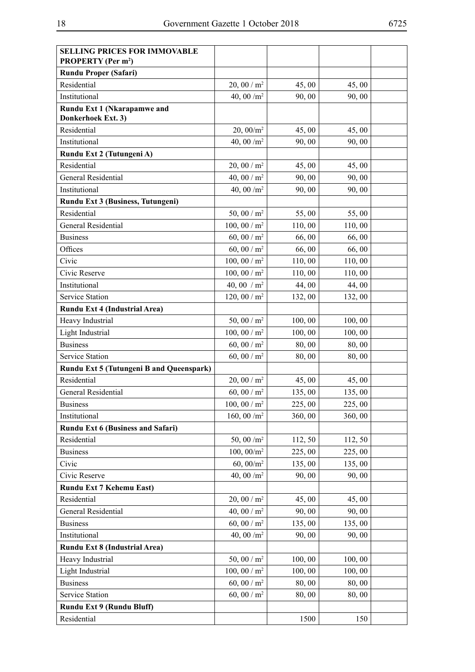| <b>SELLING PRICES FOR IMMOVABLE</b><br><b>PROPERTY</b> (Per m <sup>2</sup> ) |                 |         |         |  |
|------------------------------------------------------------------------------|-----------------|---------|---------|--|
| <b>Rundu Proper (Safari)</b>                                                 |                 |         |         |  |
| Residential                                                                  | 20, 00 / $m2$   | 45,00   | 45,00   |  |
| Institutional                                                                | 40, 00 $/m^2$   | 90,00   | 90,00   |  |
| Rundu Ext 1 (Nkarapamwe and                                                  |                 |         |         |  |
| Donkerhoek Ext. 3)                                                           |                 |         |         |  |
| Residential                                                                  | $20,00/m^2$     | 45,00   | 45,00   |  |
| Institutional                                                                | 40, 00 $/m^2$   | 90,00   | 90,00   |  |
| Rundu Ext 2 (Tutungeni A)                                                    |                 |         |         |  |
| Residential                                                                  | 20, 00 / $m2$   | 45,00   | 45,00   |  |
| General Residential                                                          | 40, 00 / $m2$   | 90,00   | 90,00   |  |
| Institutional                                                                | 40, 00 $/m^2$   | 90,00   | 90,00   |  |
| Rundu Ext 3 (Business, Tutungeni)                                            |                 |         |         |  |
| Residential                                                                  | 50, 00 / $m^2$  | 55,00   | 55,00   |  |
| General Residential                                                          | 100, 00 / $m^2$ | 110,00  | 110,00  |  |
| <b>Business</b>                                                              | 60, 00 / $m^2$  | 66,00   | 66,00   |  |
| Offices                                                                      | 60, 00 / $m^2$  | 66,00   | 66,00   |  |
| Civic                                                                        | 100, 00 / $m^2$ | 110,00  | 110,00  |  |
| Civic Reserve                                                                | 100, 00 / $m^2$ | 110,00  | 110,00  |  |
| Institutional                                                                | 40, 00 / $m^2$  | 44,00   | 44,00   |  |
| Service Station                                                              | 120, 00 / $m^2$ | 132,00  | 132,00  |  |
| Rundu Ext 4 (Industrial Area)                                                |                 |         |         |  |
| Heavy Industrial                                                             | 50, 00 / $m^2$  | 100, 00 | 100, 00 |  |
| Light Industrial                                                             | 100, 00 / $m^2$ | 100,00  | 100,00  |  |
| <b>Business</b>                                                              | 60, 00 / $m^2$  | 80,00   | 80,00   |  |
| <b>Service Station</b>                                                       | 60, 00 / $m2$   | 80,00   | 80,00   |  |
| Rundu Ext 5 (Tutungeni B and Queenspark)                                     |                 |         |         |  |
| Residential                                                                  | 20, 00 / $m2$   | 45,00   | 45,00   |  |
| <b>General Residential</b>                                                   | 60, 00 / $m^2$  | 135,00  | 135,00  |  |
| <b>Business</b>                                                              | 100, 00 / $m^2$ | 225,00  | 225,00  |  |
| Institutional                                                                | 160, 00 $/m^2$  | 360,00  | 360,00  |  |
| Rundu Ext 6 (Business and Safari)                                            |                 |         |         |  |
| Residential                                                                  | 50, 00 $/m^2$   | 112, 50 | 112, 50 |  |
| <b>Business</b>                                                              | $100, 00/m^2$   | 225,00  | 225,00  |  |
| Civic                                                                        | $60, 00/m^2$    | 135,00  | 135,00  |  |
| Civic Reserve                                                                | 40, 00 $/m^2$   | 90,00   | 90,00   |  |
| Rundu Ext 7 Kehemu East)                                                     |                 |         |         |  |
| Residential                                                                  | 20, 00 / $m2$   | 45,00   | 45,00   |  |
| General Residential                                                          | 40, 00 / $m2$   | 90,00   | 90,00   |  |
| <b>Business</b>                                                              | 60, 00 / $m^2$  | 135,00  | 135,00  |  |
| Institutional                                                                | 40, 00 $/m^2$   | 90,00   | 90,00   |  |
| Rundu Ext 8 (Industrial Area)                                                |                 |         |         |  |
| Heavy Industrial                                                             | 50, 00 / $m^2$  | 100,00  | 100, 00 |  |
| Light Industrial                                                             | 100, 00 / $m^2$ | 100,00  | 100,00  |  |
| <b>Business</b>                                                              | 60, 00 / $m^2$  | 80,00   | 80,00   |  |
| <b>Service Station</b>                                                       | 60, 00 / $m2$   | 80,00   | 80,00   |  |
| Rundu Ext 9 (Rundu Bluff)                                                    |                 |         |         |  |
| Residential                                                                  |                 | 1500    | 150     |  |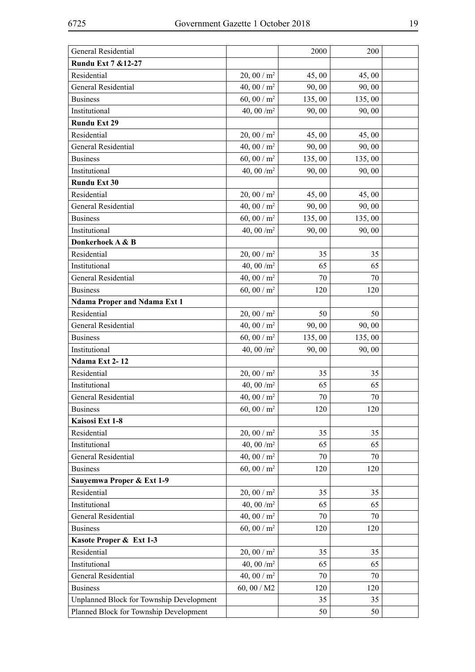| Rundu Ext 7 & 12-27<br>Residential<br>$20,00/m^2$<br>45,00<br>45,00<br>General Residential<br>40, 00 / $m^2$<br>90,00<br>90,00<br>60, 00 / $m2$<br><b>Business</b><br>135,00<br>135,00<br>40, 00 $/m^2$<br>Institutional<br>90,00<br>90,00<br><b>Rundu Ext 29</b><br>Residential<br>$20,00/m^2$<br>45,00<br>45,00<br>40, 00 / $m^2$<br>General Residential<br>90,00<br>90,00<br>60, 00 / $m^2$<br><b>Business</b><br>135,00<br>135,00<br>Institutional<br>40, 00 $/m^2$<br>90,00<br>90,00<br><b>Rundu Ext 30</b><br>Residential<br>$20,00/m^2$<br>45,00<br>45,00<br>40, 00 / $m^2$<br><b>General Residential</b><br>90,00<br>90,00<br>60, 00 / $m^2$<br><b>Business</b><br>135,00<br>135,00<br>40, 00 $/m^2$<br>Institutional<br>90,00<br>90,00<br>Donkerhoek A & B<br>20, 00 / $m^2$<br>Residential<br>35<br>35<br>40, 00 $/m^2$<br>Institutional<br>65<br>65<br>40, 00 / $m^2$<br><b>General Residential</b><br>70<br>70<br>60, 00 / $m2$<br><b>Business</b><br>120<br>120<br><b>Ndama Proper and Ndama Ext 1</b><br>Residential<br>$20,00/m^2$<br>50<br>50<br>General Residential<br>40, 00 / $m2$<br>90,00<br>90,00<br>60, 00 / $m^2$<br>135,00<br>135,00<br><b>Business</b><br>40, 00 $/m^2$<br>Institutional<br>90,00<br>90,00<br>Ndama Ext 2-12<br>Residential<br>$20,00/m^2$<br>35<br>35<br>40, 00 $/m^2$<br>Institutional<br>65<br>65<br>General Residential<br>40, 00 / $m2$<br>70<br>70<br>60, 00 / $m^2$<br><b>Business</b><br>120<br>120<br>Kaisosi Ext 1-8<br>20, 00 / $m^2$<br>Residential<br>35<br>35<br>Institutional<br>40, 00 $/m^2$<br>65<br>65<br>40, 00 / $m^2$<br>General Residential<br>70<br>70<br>60, 00 / $m^2$<br><b>Business</b><br>120<br>120<br>Sauyemwa Proper & Ext 1-9<br>Residential<br>$20,00/m^2$<br>35<br>35<br>Institutional<br>40, 00 $/m^2$<br>65<br>65<br>40, 00 / $m^2$<br>General Residential<br>70<br>70<br>60, 00 / $m^2$<br><b>Business</b><br>120<br>120<br>Kasote Proper & Ext 1-3<br>Residential<br>$20,00/m^2$<br>35<br>35<br>40, 00 $/m^2$<br>Institutional<br>65<br>65<br>40, 00 / $m^2$<br>General Residential<br>70<br>70<br><b>Business</b><br>60, 00 / M2<br>120<br>120<br>Unplanned Block for Township Development<br>35<br>35<br>Planned Block for Township Development<br>50<br>50 | General Residential | 2000 | 200 |  |
|------------------------------------------------------------------------------------------------------------------------------------------------------------------------------------------------------------------------------------------------------------------------------------------------------------------------------------------------------------------------------------------------------------------------------------------------------------------------------------------------------------------------------------------------------------------------------------------------------------------------------------------------------------------------------------------------------------------------------------------------------------------------------------------------------------------------------------------------------------------------------------------------------------------------------------------------------------------------------------------------------------------------------------------------------------------------------------------------------------------------------------------------------------------------------------------------------------------------------------------------------------------------------------------------------------------------------------------------------------------------------------------------------------------------------------------------------------------------------------------------------------------------------------------------------------------------------------------------------------------------------------------------------------------------------------------------------------------------------------------------------------------------------------------------------------------------------------------------------------------------------------------------------------------------------------------------------------------------------------------------------------------------------------------------------------------------------------------------------------------------------------------------------------------------------------------------------------------------------------------------|---------------------|------|-----|--|
|                                                                                                                                                                                                                                                                                                                                                                                                                                                                                                                                                                                                                                                                                                                                                                                                                                                                                                                                                                                                                                                                                                                                                                                                                                                                                                                                                                                                                                                                                                                                                                                                                                                                                                                                                                                                                                                                                                                                                                                                                                                                                                                                                                                                                                                |                     |      |     |  |
|                                                                                                                                                                                                                                                                                                                                                                                                                                                                                                                                                                                                                                                                                                                                                                                                                                                                                                                                                                                                                                                                                                                                                                                                                                                                                                                                                                                                                                                                                                                                                                                                                                                                                                                                                                                                                                                                                                                                                                                                                                                                                                                                                                                                                                                |                     |      |     |  |
|                                                                                                                                                                                                                                                                                                                                                                                                                                                                                                                                                                                                                                                                                                                                                                                                                                                                                                                                                                                                                                                                                                                                                                                                                                                                                                                                                                                                                                                                                                                                                                                                                                                                                                                                                                                                                                                                                                                                                                                                                                                                                                                                                                                                                                                |                     |      |     |  |
|                                                                                                                                                                                                                                                                                                                                                                                                                                                                                                                                                                                                                                                                                                                                                                                                                                                                                                                                                                                                                                                                                                                                                                                                                                                                                                                                                                                                                                                                                                                                                                                                                                                                                                                                                                                                                                                                                                                                                                                                                                                                                                                                                                                                                                                |                     |      |     |  |
|                                                                                                                                                                                                                                                                                                                                                                                                                                                                                                                                                                                                                                                                                                                                                                                                                                                                                                                                                                                                                                                                                                                                                                                                                                                                                                                                                                                                                                                                                                                                                                                                                                                                                                                                                                                                                                                                                                                                                                                                                                                                                                                                                                                                                                                |                     |      |     |  |
|                                                                                                                                                                                                                                                                                                                                                                                                                                                                                                                                                                                                                                                                                                                                                                                                                                                                                                                                                                                                                                                                                                                                                                                                                                                                                                                                                                                                                                                                                                                                                                                                                                                                                                                                                                                                                                                                                                                                                                                                                                                                                                                                                                                                                                                |                     |      |     |  |
|                                                                                                                                                                                                                                                                                                                                                                                                                                                                                                                                                                                                                                                                                                                                                                                                                                                                                                                                                                                                                                                                                                                                                                                                                                                                                                                                                                                                                                                                                                                                                                                                                                                                                                                                                                                                                                                                                                                                                                                                                                                                                                                                                                                                                                                |                     |      |     |  |
|                                                                                                                                                                                                                                                                                                                                                                                                                                                                                                                                                                                                                                                                                                                                                                                                                                                                                                                                                                                                                                                                                                                                                                                                                                                                                                                                                                                                                                                                                                                                                                                                                                                                                                                                                                                                                                                                                                                                                                                                                                                                                                                                                                                                                                                |                     |      |     |  |
|                                                                                                                                                                                                                                                                                                                                                                                                                                                                                                                                                                                                                                                                                                                                                                                                                                                                                                                                                                                                                                                                                                                                                                                                                                                                                                                                                                                                                                                                                                                                                                                                                                                                                                                                                                                                                                                                                                                                                                                                                                                                                                                                                                                                                                                |                     |      |     |  |
|                                                                                                                                                                                                                                                                                                                                                                                                                                                                                                                                                                                                                                                                                                                                                                                                                                                                                                                                                                                                                                                                                                                                                                                                                                                                                                                                                                                                                                                                                                                                                                                                                                                                                                                                                                                                                                                                                                                                                                                                                                                                                                                                                                                                                                                |                     |      |     |  |
|                                                                                                                                                                                                                                                                                                                                                                                                                                                                                                                                                                                                                                                                                                                                                                                                                                                                                                                                                                                                                                                                                                                                                                                                                                                                                                                                                                                                                                                                                                                                                                                                                                                                                                                                                                                                                                                                                                                                                                                                                                                                                                                                                                                                                                                |                     |      |     |  |
|                                                                                                                                                                                                                                                                                                                                                                                                                                                                                                                                                                                                                                                                                                                                                                                                                                                                                                                                                                                                                                                                                                                                                                                                                                                                                                                                                                                                                                                                                                                                                                                                                                                                                                                                                                                                                                                                                                                                                                                                                                                                                                                                                                                                                                                |                     |      |     |  |
|                                                                                                                                                                                                                                                                                                                                                                                                                                                                                                                                                                                                                                                                                                                                                                                                                                                                                                                                                                                                                                                                                                                                                                                                                                                                                                                                                                                                                                                                                                                                                                                                                                                                                                                                                                                                                                                                                                                                                                                                                                                                                                                                                                                                                                                |                     |      |     |  |
|                                                                                                                                                                                                                                                                                                                                                                                                                                                                                                                                                                                                                                                                                                                                                                                                                                                                                                                                                                                                                                                                                                                                                                                                                                                                                                                                                                                                                                                                                                                                                                                                                                                                                                                                                                                                                                                                                                                                                                                                                                                                                                                                                                                                                                                |                     |      |     |  |
|                                                                                                                                                                                                                                                                                                                                                                                                                                                                                                                                                                                                                                                                                                                                                                                                                                                                                                                                                                                                                                                                                                                                                                                                                                                                                                                                                                                                                                                                                                                                                                                                                                                                                                                                                                                                                                                                                                                                                                                                                                                                                                                                                                                                                                                |                     |      |     |  |
|                                                                                                                                                                                                                                                                                                                                                                                                                                                                                                                                                                                                                                                                                                                                                                                                                                                                                                                                                                                                                                                                                                                                                                                                                                                                                                                                                                                                                                                                                                                                                                                                                                                                                                                                                                                                                                                                                                                                                                                                                                                                                                                                                                                                                                                |                     |      |     |  |
|                                                                                                                                                                                                                                                                                                                                                                                                                                                                                                                                                                                                                                                                                                                                                                                                                                                                                                                                                                                                                                                                                                                                                                                                                                                                                                                                                                                                                                                                                                                                                                                                                                                                                                                                                                                                                                                                                                                                                                                                                                                                                                                                                                                                                                                |                     |      |     |  |
|                                                                                                                                                                                                                                                                                                                                                                                                                                                                                                                                                                                                                                                                                                                                                                                                                                                                                                                                                                                                                                                                                                                                                                                                                                                                                                                                                                                                                                                                                                                                                                                                                                                                                                                                                                                                                                                                                                                                                                                                                                                                                                                                                                                                                                                |                     |      |     |  |
|                                                                                                                                                                                                                                                                                                                                                                                                                                                                                                                                                                                                                                                                                                                                                                                                                                                                                                                                                                                                                                                                                                                                                                                                                                                                                                                                                                                                                                                                                                                                                                                                                                                                                                                                                                                                                                                                                                                                                                                                                                                                                                                                                                                                                                                |                     |      |     |  |
|                                                                                                                                                                                                                                                                                                                                                                                                                                                                                                                                                                                                                                                                                                                                                                                                                                                                                                                                                                                                                                                                                                                                                                                                                                                                                                                                                                                                                                                                                                                                                                                                                                                                                                                                                                                                                                                                                                                                                                                                                                                                                                                                                                                                                                                |                     |      |     |  |
|                                                                                                                                                                                                                                                                                                                                                                                                                                                                                                                                                                                                                                                                                                                                                                                                                                                                                                                                                                                                                                                                                                                                                                                                                                                                                                                                                                                                                                                                                                                                                                                                                                                                                                                                                                                                                                                                                                                                                                                                                                                                                                                                                                                                                                                |                     |      |     |  |
|                                                                                                                                                                                                                                                                                                                                                                                                                                                                                                                                                                                                                                                                                                                                                                                                                                                                                                                                                                                                                                                                                                                                                                                                                                                                                                                                                                                                                                                                                                                                                                                                                                                                                                                                                                                                                                                                                                                                                                                                                                                                                                                                                                                                                                                |                     |      |     |  |
|                                                                                                                                                                                                                                                                                                                                                                                                                                                                                                                                                                                                                                                                                                                                                                                                                                                                                                                                                                                                                                                                                                                                                                                                                                                                                                                                                                                                                                                                                                                                                                                                                                                                                                                                                                                                                                                                                                                                                                                                                                                                                                                                                                                                                                                |                     |      |     |  |
|                                                                                                                                                                                                                                                                                                                                                                                                                                                                                                                                                                                                                                                                                                                                                                                                                                                                                                                                                                                                                                                                                                                                                                                                                                                                                                                                                                                                                                                                                                                                                                                                                                                                                                                                                                                                                                                                                                                                                                                                                                                                                                                                                                                                                                                |                     |      |     |  |
|                                                                                                                                                                                                                                                                                                                                                                                                                                                                                                                                                                                                                                                                                                                                                                                                                                                                                                                                                                                                                                                                                                                                                                                                                                                                                                                                                                                                                                                                                                                                                                                                                                                                                                                                                                                                                                                                                                                                                                                                                                                                                                                                                                                                                                                |                     |      |     |  |
|                                                                                                                                                                                                                                                                                                                                                                                                                                                                                                                                                                                                                                                                                                                                                                                                                                                                                                                                                                                                                                                                                                                                                                                                                                                                                                                                                                                                                                                                                                                                                                                                                                                                                                                                                                                                                                                                                                                                                                                                                                                                                                                                                                                                                                                |                     |      |     |  |
|                                                                                                                                                                                                                                                                                                                                                                                                                                                                                                                                                                                                                                                                                                                                                                                                                                                                                                                                                                                                                                                                                                                                                                                                                                                                                                                                                                                                                                                                                                                                                                                                                                                                                                                                                                                                                                                                                                                                                                                                                                                                                                                                                                                                                                                |                     |      |     |  |
|                                                                                                                                                                                                                                                                                                                                                                                                                                                                                                                                                                                                                                                                                                                                                                                                                                                                                                                                                                                                                                                                                                                                                                                                                                                                                                                                                                                                                                                                                                                                                                                                                                                                                                                                                                                                                                                                                                                                                                                                                                                                                                                                                                                                                                                |                     |      |     |  |
|                                                                                                                                                                                                                                                                                                                                                                                                                                                                                                                                                                                                                                                                                                                                                                                                                                                                                                                                                                                                                                                                                                                                                                                                                                                                                                                                                                                                                                                                                                                                                                                                                                                                                                                                                                                                                                                                                                                                                                                                                                                                                                                                                                                                                                                |                     |      |     |  |
|                                                                                                                                                                                                                                                                                                                                                                                                                                                                                                                                                                                                                                                                                                                                                                                                                                                                                                                                                                                                                                                                                                                                                                                                                                                                                                                                                                                                                                                                                                                                                                                                                                                                                                                                                                                                                                                                                                                                                                                                                                                                                                                                                                                                                                                |                     |      |     |  |
|                                                                                                                                                                                                                                                                                                                                                                                                                                                                                                                                                                                                                                                                                                                                                                                                                                                                                                                                                                                                                                                                                                                                                                                                                                                                                                                                                                                                                                                                                                                                                                                                                                                                                                                                                                                                                                                                                                                                                                                                                                                                                                                                                                                                                                                |                     |      |     |  |
|                                                                                                                                                                                                                                                                                                                                                                                                                                                                                                                                                                                                                                                                                                                                                                                                                                                                                                                                                                                                                                                                                                                                                                                                                                                                                                                                                                                                                                                                                                                                                                                                                                                                                                                                                                                                                                                                                                                                                                                                                                                                                                                                                                                                                                                |                     |      |     |  |
|                                                                                                                                                                                                                                                                                                                                                                                                                                                                                                                                                                                                                                                                                                                                                                                                                                                                                                                                                                                                                                                                                                                                                                                                                                                                                                                                                                                                                                                                                                                                                                                                                                                                                                                                                                                                                                                                                                                                                                                                                                                                                                                                                                                                                                                |                     |      |     |  |
|                                                                                                                                                                                                                                                                                                                                                                                                                                                                                                                                                                                                                                                                                                                                                                                                                                                                                                                                                                                                                                                                                                                                                                                                                                                                                                                                                                                                                                                                                                                                                                                                                                                                                                                                                                                                                                                                                                                                                                                                                                                                                                                                                                                                                                                |                     |      |     |  |
|                                                                                                                                                                                                                                                                                                                                                                                                                                                                                                                                                                                                                                                                                                                                                                                                                                                                                                                                                                                                                                                                                                                                                                                                                                                                                                                                                                                                                                                                                                                                                                                                                                                                                                                                                                                                                                                                                                                                                                                                                                                                                                                                                                                                                                                |                     |      |     |  |
|                                                                                                                                                                                                                                                                                                                                                                                                                                                                                                                                                                                                                                                                                                                                                                                                                                                                                                                                                                                                                                                                                                                                                                                                                                                                                                                                                                                                                                                                                                                                                                                                                                                                                                                                                                                                                                                                                                                                                                                                                                                                                                                                                                                                                                                |                     |      |     |  |
|                                                                                                                                                                                                                                                                                                                                                                                                                                                                                                                                                                                                                                                                                                                                                                                                                                                                                                                                                                                                                                                                                                                                                                                                                                                                                                                                                                                                                                                                                                                                                                                                                                                                                                                                                                                                                                                                                                                                                                                                                                                                                                                                                                                                                                                |                     |      |     |  |
|                                                                                                                                                                                                                                                                                                                                                                                                                                                                                                                                                                                                                                                                                                                                                                                                                                                                                                                                                                                                                                                                                                                                                                                                                                                                                                                                                                                                                                                                                                                                                                                                                                                                                                                                                                                                                                                                                                                                                                                                                                                                                                                                                                                                                                                |                     |      |     |  |
|                                                                                                                                                                                                                                                                                                                                                                                                                                                                                                                                                                                                                                                                                                                                                                                                                                                                                                                                                                                                                                                                                                                                                                                                                                                                                                                                                                                                                                                                                                                                                                                                                                                                                                                                                                                                                                                                                                                                                                                                                                                                                                                                                                                                                                                |                     |      |     |  |
|                                                                                                                                                                                                                                                                                                                                                                                                                                                                                                                                                                                                                                                                                                                                                                                                                                                                                                                                                                                                                                                                                                                                                                                                                                                                                                                                                                                                                                                                                                                                                                                                                                                                                                                                                                                                                                                                                                                                                                                                                                                                                                                                                                                                                                                |                     |      |     |  |
|                                                                                                                                                                                                                                                                                                                                                                                                                                                                                                                                                                                                                                                                                                                                                                                                                                                                                                                                                                                                                                                                                                                                                                                                                                                                                                                                                                                                                                                                                                                                                                                                                                                                                                                                                                                                                                                                                                                                                                                                                                                                                                                                                                                                                                                |                     |      |     |  |
|                                                                                                                                                                                                                                                                                                                                                                                                                                                                                                                                                                                                                                                                                                                                                                                                                                                                                                                                                                                                                                                                                                                                                                                                                                                                                                                                                                                                                                                                                                                                                                                                                                                                                                                                                                                                                                                                                                                                                                                                                                                                                                                                                                                                                                                |                     |      |     |  |
|                                                                                                                                                                                                                                                                                                                                                                                                                                                                                                                                                                                                                                                                                                                                                                                                                                                                                                                                                                                                                                                                                                                                                                                                                                                                                                                                                                                                                                                                                                                                                                                                                                                                                                                                                                                                                                                                                                                                                                                                                                                                                                                                                                                                                                                |                     |      |     |  |
|                                                                                                                                                                                                                                                                                                                                                                                                                                                                                                                                                                                                                                                                                                                                                                                                                                                                                                                                                                                                                                                                                                                                                                                                                                                                                                                                                                                                                                                                                                                                                                                                                                                                                                                                                                                                                                                                                                                                                                                                                                                                                                                                                                                                                                                |                     |      |     |  |
|                                                                                                                                                                                                                                                                                                                                                                                                                                                                                                                                                                                                                                                                                                                                                                                                                                                                                                                                                                                                                                                                                                                                                                                                                                                                                                                                                                                                                                                                                                                                                                                                                                                                                                                                                                                                                                                                                                                                                                                                                                                                                                                                                                                                                                                |                     |      |     |  |
|                                                                                                                                                                                                                                                                                                                                                                                                                                                                                                                                                                                                                                                                                                                                                                                                                                                                                                                                                                                                                                                                                                                                                                                                                                                                                                                                                                                                                                                                                                                                                                                                                                                                                                                                                                                                                                                                                                                                                                                                                                                                                                                                                                                                                                                |                     |      |     |  |
|                                                                                                                                                                                                                                                                                                                                                                                                                                                                                                                                                                                                                                                                                                                                                                                                                                                                                                                                                                                                                                                                                                                                                                                                                                                                                                                                                                                                                                                                                                                                                                                                                                                                                                                                                                                                                                                                                                                                                                                                                                                                                                                                                                                                                                                |                     |      |     |  |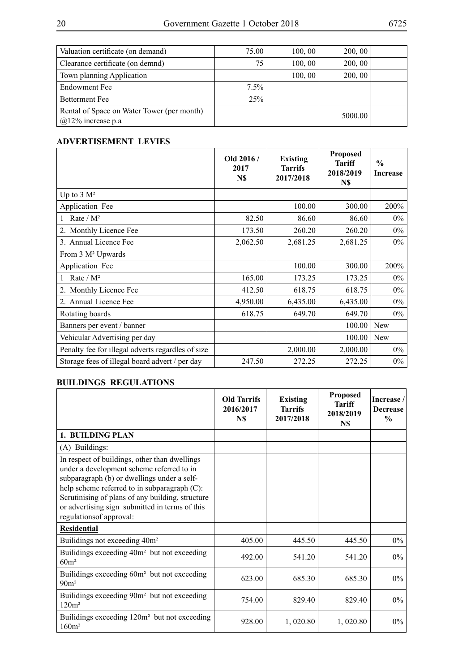| Valuation certificate (on demand)                                  | 75.00      | 100, 00 | 200, 00 |  |
|--------------------------------------------------------------------|------------|---------|---------|--|
| Clearance certificate (on demnd)                                   | 75         | 100, 00 | 200, 00 |  |
| Town planning Application                                          |            | 100, 00 | 200, 00 |  |
| Endowment Fee                                                      | $7.5\%$    |         |         |  |
| <b>Betterment Fee</b>                                              | <b>25%</b> |         |         |  |
| Rental of Space on Water Tower (per month)<br>$@12\%$ increase p.a |            |         | 5000.00 |  |

## **Advertisement Levies**

|                                                   | Old 2016/<br>2017<br>N\$ | <b>Existing</b><br><b>Tarrifs</b><br>2017/2018 | <b>Proposed</b><br><b>Tariff</b><br>2018/2019<br>N\$ | $\frac{0}{0}$<br><b>Increase</b> |
|---------------------------------------------------|--------------------------|------------------------------------------------|------------------------------------------------------|----------------------------------|
| Up to $3 \text{ M}^2$                             |                          |                                                |                                                      |                                  |
| Application Fee                                   |                          | 100.00                                         | 300.00                                               | 200%                             |
| Rate / $M^2$                                      | 82.50                    | 86.60                                          | 86.60                                                | $0\%$                            |
| Monthly Licence Fee<br>$2_{-}$                    | 173.50                   | 260.20                                         | 260.20                                               | $0\%$                            |
| 3. Annual Licence Fee                             | 2,062.50                 | 2,681.25                                       | 2,681.25                                             | $0\%$                            |
| From 3 M <sup>2</sup> Upwards                     |                          |                                                |                                                      |                                  |
| Application Fee                                   |                          | 100.00                                         | 300.00                                               | 200%                             |
| Rate / $M^2$                                      | 165.00                   | 173.25                                         | 173.25                                               | $0\%$                            |
| 2. Monthly Licence Fee                            | 412.50                   | 618.75                                         | 618.75                                               | $0\%$                            |
| 2. Annual Licence Fee                             | 4,950.00                 | 6,435.00                                       | 6,435.00                                             | $0\%$                            |
| Rotating boards                                   | 618.75                   | 649.70                                         | 649.70                                               | $0\%$                            |
| Banners per event / banner                        |                          |                                                | 100.00                                               | <b>New</b>                       |
| Vehicular Advertising per day                     |                          |                                                | 100.00                                               | <b>New</b>                       |
| Penalty fee for illegal adverts regardles of size |                          | 2,000.00                                       | 2,000.00                                             | $0\%$                            |
| Storage fees of illegal board advert / per day    | 247.50                   | 272.25                                         | 272.25                                               | $0\%$                            |

## **BUILDINGS REGULATIONS**

|                                                                                                                                                                                                                                                                                                                                | <b>Old Tarrifs</b><br>2016/2017<br>N\$ | <b>Existing</b><br>Tarrifs<br>2017/2018 | <b>Proposed</b><br><b>Tariff</b><br>2018/2019<br>N\$ | Increase<br><b>Decrease</b><br>$\frac{0}{0}$ |
|--------------------------------------------------------------------------------------------------------------------------------------------------------------------------------------------------------------------------------------------------------------------------------------------------------------------------------|----------------------------------------|-----------------------------------------|------------------------------------------------------|----------------------------------------------|
| 1. BUILDING PLAN                                                                                                                                                                                                                                                                                                               |                                        |                                         |                                                      |                                              |
| (A) Buildings:                                                                                                                                                                                                                                                                                                                 |                                        |                                         |                                                      |                                              |
| In respect of buildings, other than dwellings<br>under a development scheme referred to in<br>subparagraph (b) or dwellings under a self-<br>help scheme referred to in subparagraph $(C)$ :<br>Scrutinising of plans of any building, structure<br>or advertising sign submitted in terms of this<br>regulations of approval: |                                        |                                         |                                                      |                                              |
| <b>Residential</b>                                                                                                                                                                                                                                                                                                             |                                        |                                         |                                                      |                                              |
| Builidings not exceeding 40m <sup>2</sup>                                                                                                                                                                                                                                                                                      | 405.00                                 | 445.50                                  | 445.50                                               | $0\%$                                        |
| Builidings exceeding 40m <sup>2</sup> but not exceeding<br>60m <sup>2</sup>                                                                                                                                                                                                                                                    | 492.00                                 | 541.20                                  | 541.20                                               | $0\%$                                        |
| Builidings exceeding 60m <sup>2</sup> but not exceeding<br>90 <sup>m²</sup>                                                                                                                                                                                                                                                    | 623.00                                 | 685.30                                  | 685.30                                               | $0\%$                                        |
| Builidings exceeding 90m <sup>2</sup> but not exceeding<br>120m <sup>2</sup>                                                                                                                                                                                                                                                   | 754.00                                 | 829.40                                  | 829.40                                               | $0\%$                                        |
| Builidings exceeding 120m <sup>2</sup> but not exceeding<br>160m <sup>2</sup>                                                                                                                                                                                                                                                  | 928.00                                 | 1,020.80                                | 1,020.80                                             | $0\%$                                        |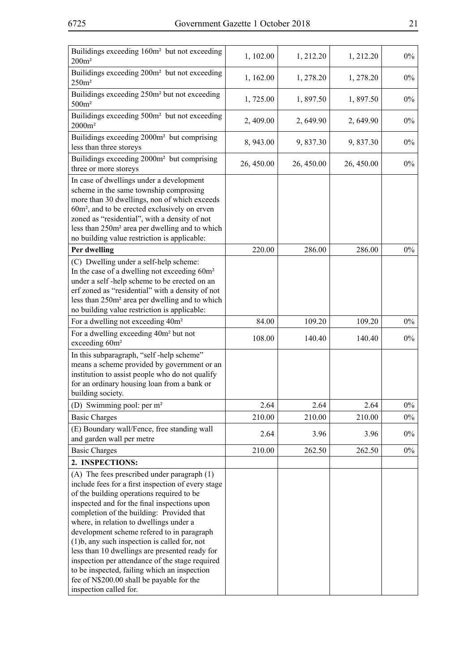| Builidings exceeding 160m <sup>2</sup> but not exceeding<br>200m <sup>2</sup>                                                                                                                                                                                                                                                                                                                                                                                                                                                                                                                                       | 1, 102.00  | 1, 212.20  | 1, 212.20  | $0\%$ |
|---------------------------------------------------------------------------------------------------------------------------------------------------------------------------------------------------------------------------------------------------------------------------------------------------------------------------------------------------------------------------------------------------------------------------------------------------------------------------------------------------------------------------------------------------------------------------------------------------------------------|------------|------------|------------|-------|
| Builidings exceeding 200m <sup>2</sup> but not exceeding<br>250m <sup>2</sup>                                                                                                                                                                                                                                                                                                                                                                                                                                                                                                                                       | 1, 162.00  | 1, 278.20  | 1, 278.20  | $0\%$ |
| Builidings exceeding 250m <sup>2</sup> but not exceeding<br>500m <sup>2</sup>                                                                                                                                                                                                                                                                                                                                                                                                                                                                                                                                       | 1,725.00   | 1,897.50   | 1,897.50   | $0\%$ |
| Builidings exceeding 500m <sup>2</sup> but not exceeding<br>$2000m^2$                                                                                                                                                                                                                                                                                                                                                                                                                                                                                                                                               | 2,409.00   | 2,649.90   | 2,649.90   | $0\%$ |
| Builidings exceeding 2000m <sup>2</sup> but comprising<br>less than three storeys                                                                                                                                                                                                                                                                                                                                                                                                                                                                                                                                   | 8, 943.00  | 9,837.30   | 9,837.30   | $0\%$ |
| Builidings exceeding 2000m <sup>2</sup> but comprising<br>three or more storeys                                                                                                                                                                                                                                                                                                                                                                                                                                                                                                                                     | 26, 450.00 | 26, 450.00 | 26, 450.00 | $0\%$ |
| In case of dwellings under a development<br>scheme in the same township comprosing<br>more than 30 dwellings, non of which exceeds<br>60m <sup>2</sup> , and to be erected exclusively on erven<br>zoned as "residential", with a density of not<br>less than 250m <sup>2</sup> area per dwelling and to which<br>no building value restriction is applicable:                                                                                                                                                                                                                                                      |            |            |            |       |
| Per dwelling                                                                                                                                                                                                                                                                                                                                                                                                                                                                                                                                                                                                        | 220.00     | 286.00     | 286.00     | $0\%$ |
| (C) Dwelling under a self-help scheme:<br>In the case of a dwelling not exceeding 60m <sup>2</sup><br>under a self-help scheme to be erected on an<br>erf zoned as "residential" with a density of not<br>less than 250m <sup>2</sup> area per dwelling and to which<br>no building value restriction is applicable:                                                                                                                                                                                                                                                                                                |            |            |            |       |
| For a dwelling not exceeding 40m <sup>2</sup>                                                                                                                                                                                                                                                                                                                                                                                                                                                                                                                                                                       | 84.00      | 109.20     | 109.20     | $0\%$ |
| For a dwelling exceeding 40m <sup>2</sup> but not<br>exceeding 60m <sup>2</sup>                                                                                                                                                                                                                                                                                                                                                                                                                                                                                                                                     | 108.00     | 140.40     | 140.40     | $0\%$ |
| In this subparagraph, "self-help scheme"<br>means a scheme provided by government or an<br>institution to assist people who do not qualify<br>for an ordinary housing loan from a bank or<br>building society.                                                                                                                                                                                                                                                                                                                                                                                                      |            |            |            |       |
| (D) Swimming pool: per m <sup>2</sup>                                                                                                                                                                                                                                                                                                                                                                                                                                                                                                                                                                               | 2.64       | 2.64       | 2.64       | $0\%$ |
| <b>Basic Charges</b>                                                                                                                                                                                                                                                                                                                                                                                                                                                                                                                                                                                                | 210.00     | 210.00     | 210.00     | $0\%$ |
| (E) Boundary wall/Fence, free standing wall<br>and garden wall per metre                                                                                                                                                                                                                                                                                                                                                                                                                                                                                                                                            | 2.64       | 3.96       | 3.96       | $0\%$ |
| <b>Basic Charges</b><br>2. INSPECTIONS:                                                                                                                                                                                                                                                                                                                                                                                                                                                                                                                                                                             | 210.00     | 262.50     | 262.50     | $0\%$ |
| (A) The fees prescribed under paragraph (1)<br>include fees for a first inspection of every stage<br>of the building operations required to be<br>inspected and for the final inspections upon<br>completion of the building: Provided that<br>where, in relation to dwellings under a<br>development scheme refered to in paragraph<br>$(1)b$ , any such inspection is called for, not<br>less than 10 dwellings are presented ready for<br>inspection per attendance of the stage required<br>to be inspected, failing which an inspection<br>fee of N\$200.00 shall be payable for the<br>inspection called for. |            |            |            |       |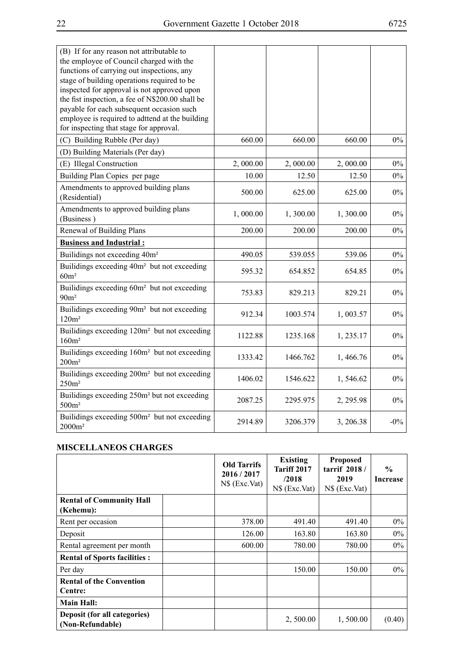| (B) If for any reason not attributable to<br>the employee of Council charged with the<br>functions of carrying out inspections, any<br>stage of building operations required to be<br>inspected for approval is not approved upon<br>the fist inspection, a fee of N\$200.00 shall be<br>payable for each subsequent occasion such<br>employee is required to adttend at the building<br>for inspecting that stage for approval. |          |          |           |        |
|----------------------------------------------------------------------------------------------------------------------------------------------------------------------------------------------------------------------------------------------------------------------------------------------------------------------------------------------------------------------------------------------------------------------------------|----------|----------|-----------|--------|
| (C) Building Rubble (Per day)                                                                                                                                                                                                                                                                                                                                                                                                    | 660.00   | 660.00   | 660.00    | $0\%$  |
| (D) Building Materials (Per day)                                                                                                                                                                                                                                                                                                                                                                                                 |          |          |           |        |
| (E) Illegal Construction                                                                                                                                                                                                                                                                                                                                                                                                         | 2,000.00 | 2,000.00 | 2,000.00  | $0\%$  |
| Building Plan Copies per page                                                                                                                                                                                                                                                                                                                                                                                                    | 10.00    | 12.50    | 12.50     | $0\%$  |
| Amendments to approved building plans<br>(Residential)                                                                                                                                                                                                                                                                                                                                                                           | 500.00   | 625.00   | 625.00    | $0\%$  |
| Amendments to approved building plans<br>(Business)                                                                                                                                                                                                                                                                                                                                                                              | 1,000.00 | 1,300.00 | 1,300.00  | $0\%$  |
| Renewal of Building Plans                                                                                                                                                                                                                                                                                                                                                                                                        | 200.00   | 200.00   | 200.00    | $0\%$  |
| <b>Business and Industrial:</b>                                                                                                                                                                                                                                                                                                                                                                                                  |          |          |           |        |
| Builidings not exceeding 40m <sup>2</sup>                                                                                                                                                                                                                                                                                                                                                                                        | 490.05   | 539.055  | 539.06    | $0\%$  |
| Builidings exceeding 40m <sup>2</sup> but not exceeding<br>$60m^2$                                                                                                                                                                                                                                                                                                                                                               | 595.32   | 654.852  | 654.85    | $0\%$  |
| Builidings exceeding 60m <sup>2</sup> but not exceeding<br>90 <sup>m²</sup>                                                                                                                                                                                                                                                                                                                                                      | 753.83   | 829.213  | 829.21    | $0\%$  |
| Builidings exceeding 90m <sup>2</sup> but not exceeding<br>120m <sup>2</sup>                                                                                                                                                                                                                                                                                                                                                     | 912.34   | 1003.574 | 1,003.57  | $0\%$  |
| Builidings exceeding 120m <sup>2</sup> but not exceeding<br>160m <sup>2</sup>                                                                                                                                                                                                                                                                                                                                                    | 1122.88  | 1235.168 | 1, 235.17 | $0\%$  |
| Builidings exceeding 160m <sup>2</sup> but not exceeding<br>200m <sup>2</sup>                                                                                                                                                                                                                                                                                                                                                    | 1333.42  | 1466.762 | 1,466.76  | $0\%$  |
| Builidings exceeding 200m <sup>2</sup> but not exceeding<br>250m <sup>2</sup>                                                                                                                                                                                                                                                                                                                                                    | 1406.02  | 1546.622 | 1,546.62  | $0\%$  |
| Builidings exceeding 250m <sup>2</sup> but not exceeding<br>500m <sup>2</sup>                                                                                                                                                                                                                                                                                                                                                    | 2087.25  | 2295.975 | 2, 295.98 | $0\%$  |
| Builidings exceeding 500m <sup>2</sup> but not exceeding<br>2000m <sup>2</sup>                                                                                                                                                                                                                                                                                                                                                   | 2914.89  | 3206.379 | 3, 206.38 | $-0\%$ |

## **MISCELLANEOS CHARGES**

|                                                  | <b>Old Tarrifs</b><br>2016/2017<br>$N$$ (Exc.Vat) | <b>Existing</b><br>Tariff 2017<br>/2018<br>$N$$ (Exc.Vat) | <b>Proposed</b><br>tarrif $2018/$<br>2019<br>$N\$ (Exc.Vat) | $\frac{0}{0}$<br><b>Increase</b> |
|--------------------------------------------------|---------------------------------------------------|-----------------------------------------------------------|-------------------------------------------------------------|----------------------------------|
| <b>Rental of Community Hall</b><br>(Kehemu):     |                                                   |                                                           |                                                             |                                  |
| Rent per occasion                                | 378.00                                            | 491.40                                                    | 491.40                                                      | $0\%$                            |
| Deposit                                          | 126.00                                            | 163.80                                                    | 163.80                                                      | $0\%$                            |
| Rental agreement per month                       | 600.00                                            | 780.00                                                    | 780.00                                                      | $0\%$                            |
| <b>Rental of Sports facilities:</b>              |                                                   |                                                           |                                                             |                                  |
| Per day                                          |                                                   | 150.00                                                    | 150.00                                                      | $0\%$                            |
| <b>Rental of the Convention</b><br>Centre:       |                                                   |                                                           |                                                             |                                  |
| <b>Main Hall:</b>                                |                                                   |                                                           |                                                             |                                  |
| Deposit (for all categories)<br>(Non-Refundable) |                                                   | 2,500.00                                                  | 1,500.00                                                    | (0.40)                           |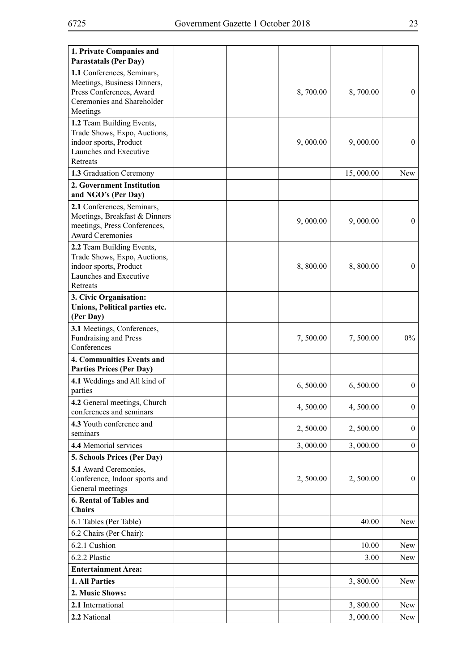| 1. Private Companies and                                  |  |          |           |                  |
|-----------------------------------------------------------|--|----------|-----------|------------------|
| <b>Parastatals (Per Day)</b>                              |  |          |           |                  |
| 1.1 Conferences, Seminars,                                |  |          |           |                  |
| Meetings, Business Dinners,<br>Press Conferences, Award   |  | 8,700.00 | 8,700.00  | $\boldsymbol{0}$ |
| Ceremonies and Shareholder                                |  |          |           |                  |
| Meetings                                                  |  |          |           |                  |
| 1.2 Team Building Events,                                 |  |          |           |                  |
| Trade Shows, Expo, Auctions,                              |  |          |           |                  |
| indoor sports, Product                                    |  | 9,000.00 | 9,000.00  | $\boldsymbol{0}$ |
| Launches and Executive<br>Retreats                        |  |          |           |                  |
| 1.3 Graduation Ceremony                                   |  |          | 15,000.00 | <b>New</b>       |
| 2. Government Institution                                 |  |          |           |                  |
| and NGO's (Per Day)                                       |  |          |           |                  |
| 2.1 Conferences, Seminars,                                |  |          |           |                  |
| Meetings, Breakfast & Dinners                             |  | 9,000.00 | 9,000.00  | $\mathbf{0}$     |
| meetings, Press Conferences,                              |  |          |           |                  |
| <b>Award Ceremonies</b>                                   |  |          |           |                  |
| 2.2 Team Building Events,<br>Trade Shows, Expo, Auctions, |  |          |           |                  |
| indoor sports, Product                                    |  | 8,800.00 | 8,800.00  | $\mathbf{0}$     |
| Launches and Executive                                    |  |          |           |                  |
| Retreats                                                  |  |          |           |                  |
| 3. Civic Organisation:                                    |  |          |           |                  |
| Unions, Political parties etc.                            |  |          |           |                  |
| (Per Day)                                                 |  |          |           |                  |
| 3.1 Meetings, Conferences,                                |  |          |           |                  |
| Fundraising and Press<br>Conferences                      |  | 7,500.00 | 7,500.00  | $0\%$            |
| <b>4. Communities Events and</b>                          |  |          |           |                  |
| <b>Parties Prices (Per Day)</b>                           |  |          |           |                  |
| 4.1 Weddings and All kind of                              |  |          |           |                  |
| parties                                                   |  | 6,500.00 | 6,500.00  | $\overline{0}$   |
| 4.2 General meetings, Church                              |  | 4,500.00 |           | $\boldsymbol{0}$ |
| conferences and seminars                                  |  |          | 4,500.00  |                  |
| 4.3 Youth conference and                                  |  | 2,500.00 | 2,500.00  | $\overline{0}$   |
| seminars                                                  |  |          |           |                  |
| 4.4 Memorial services                                     |  | 3,000.00 | 3,000.00  | $\boldsymbol{0}$ |
| 5. Schools Prices (Per Day)<br>5.1 Award Ceremonies,      |  |          |           |                  |
| Conference, Indoor sports and                             |  | 2,500.00 | 2,500.00  | $\overline{0}$   |
| General meetings                                          |  |          |           |                  |
| 6. Rental of Tables and                                   |  |          |           |                  |
| <b>Chairs</b>                                             |  |          |           |                  |
| 6.1 Tables (Per Table)                                    |  |          | 40.00     | New              |
| 6.2 Chairs (Per Chair):                                   |  |          |           |                  |
| 6.2.1 Cushion                                             |  |          | 10.00     | New              |
| 6.2.2 Plastic                                             |  |          | 3.00      | New              |
| <b>Entertainment Area:</b>                                |  |          |           |                  |
| 1. All Parties                                            |  |          | 3,800.00  | New              |
| 2. Music Shows:                                           |  |          |           |                  |
| 2.1 International                                         |  |          | 3,800.00  | New              |
| 2.2 National                                              |  |          | 3,000.00  | New              |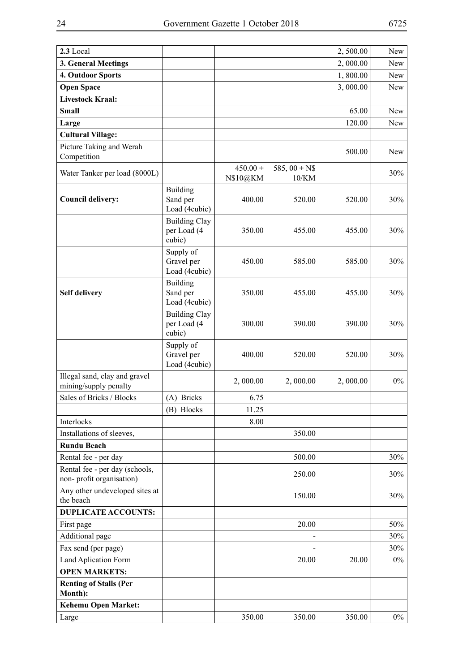| 2.3 Local                                                  |                                               |                        |                         | 2,500.00 | New   |
|------------------------------------------------------------|-----------------------------------------------|------------------------|-------------------------|----------|-------|
| 3. General Meetings                                        |                                               |                        |                         | 2,000.00 | New   |
| 4. Outdoor Sports                                          |                                               |                        |                         | 1,800.00 | New   |
| <b>Open Space</b>                                          |                                               |                        |                         | 3,000.00 | New   |
| <b>Livestock Kraal:</b>                                    |                                               |                        |                         |          |       |
| <b>Small</b>                                               |                                               |                        |                         | 65.00    | New   |
| Large                                                      |                                               |                        |                         | 120.00   | New   |
| <b>Cultural Village:</b>                                   |                                               |                        |                         |          |       |
| Picture Taking and Werah<br>Competition                    |                                               |                        |                         | 500.00   | New   |
| Water Tanker per load (8000L)                              |                                               | $450.00 +$<br>N\$10@KM | 585, $00 + NS$<br>10/KM |          | 30%   |
| <b>Council delivery:</b>                                   | <b>Building</b><br>Sand per<br>Load (4cubic)  | 400.00                 | 520.00                  | 520.00   | 30%   |
|                                                            | <b>Building Clay</b><br>per Load (4<br>cubic) | 350.00                 | 455.00                  | 455.00   | 30%   |
|                                                            | Supply of<br>Gravel per<br>Load (4cubic)      | 450.00                 | 585.00                  | 585.00   | 30%   |
| <b>Self delivery</b>                                       | Building<br>Sand per<br>Load (4cubic)         | 350.00                 | 455.00                  | 455.00   | 30%   |
|                                                            | <b>Building Clay</b><br>per Load (4<br>cubic) | 300.00                 | 390.00                  | 390.00   | 30%   |
|                                                            | Supply of<br>Gravel per<br>Load (4cubic)      | 400.00                 | 520.00                  | 520.00   | 30%   |
| Illegal sand, clay and gravel<br>mining/supply penalty     |                                               | 2,000.00               | 2,000.00                | 2,000.00 | $0\%$ |
| Sales of Bricks / Blocks                                   | (A) Bricks                                    | 6.75                   |                         |          |       |
|                                                            | (B) Blocks                                    | 11.25                  |                         |          |       |
| Interlocks                                                 |                                               | 8.00                   |                         |          |       |
| Installations of sleeves,                                  |                                               |                        | 350.00                  |          |       |
| <b>Rundu Beach</b>                                         |                                               |                        |                         |          |       |
| Rental fee - per day                                       |                                               |                        | 500.00                  |          | 30%   |
| Rental fee - per day (schools,<br>non-profit organisation) |                                               |                        | 250.00                  |          | 30%   |
| Any other undeveloped sites at<br>the beach                |                                               |                        | 150.00                  |          | 30%   |
| <b>DUPLICATE ACCOUNTS:</b>                                 |                                               |                        |                         |          |       |
| First page                                                 |                                               |                        | 20.00                   |          | 50%   |
| Additional page                                            |                                               |                        |                         |          | 30%   |
| Fax send (per page)                                        |                                               |                        |                         |          | 30%   |
| Land Aplication Form                                       |                                               |                        | 20.00                   | 20.00    | $0\%$ |
| <b>OPEN MARKETS:</b>                                       |                                               |                        |                         |          |       |
| <b>Renting of Stalls (Per</b><br>Month):                   |                                               |                        |                         |          |       |
| <b>Kehemu Open Market:</b>                                 |                                               |                        |                         |          |       |
| Large                                                      |                                               | 350.00                 | 350.00                  | 350.00   | $0\%$ |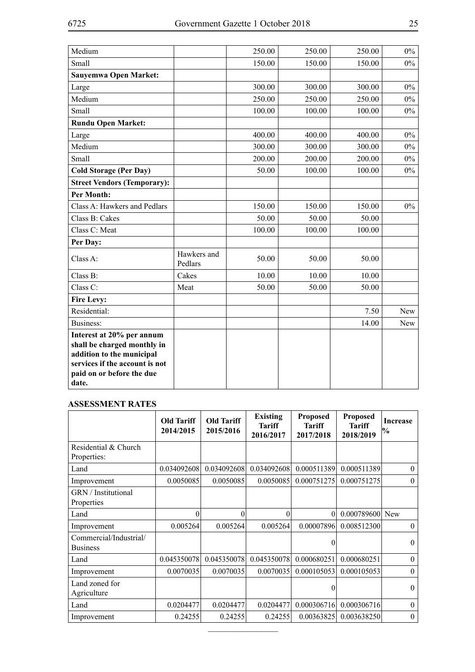| Medium                                                                                                                                                        |                        | 250.00 | 250.00 | 250.00 | $0\%$ |
|---------------------------------------------------------------------------------------------------------------------------------------------------------------|------------------------|--------|--------|--------|-------|
| Small                                                                                                                                                         |                        | 150.00 | 150.00 | 150.00 | $0\%$ |
| Sauyemwa Open Market:                                                                                                                                         |                        |        |        |        |       |
| Large                                                                                                                                                         |                        | 300.00 | 300.00 | 300.00 | $0\%$ |
| Medium                                                                                                                                                        |                        | 250.00 | 250.00 | 250.00 | $0\%$ |
| Small                                                                                                                                                         |                        | 100.00 | 100.00 | 100.00 | $0\%$ |
| <b>Rundu Open Market:</b>                                                                                                                                     |                        |        |        |        |       |
| Large                                                                                                                                                         |                        | 400.00 | 400.00 | 400.00 | $0\%$ |
| Medium                                                                                                                                                        |                        | 300.00 | 300.00 | 300.00 | $0\%$ |
| Small                                                                                                                                                         |                        | 200.00 | 200.00 | 200.00 | $0\%$ |
| <b>Cold Storage (Per Day)</b>                                                                                                                                 |                        | 50.00  | 100.00 | 100.00 | $0\%$ |
| <b>Street Vendors (Temporary):</b>                                                                                                                            |                        |        |        |        |       |
| <b>Per Month:</b>                                                                                                                                             |                        |        |        |        |       |
| Class A: Hawkers and Pedlars                                                                                                                                  |                        | 150.00 | 150.00 | 150.00 | $0\%$ |
| Class B: Cakes                                                                                                                                                |                        | 50.00  | 50.00  | 50.00  |       |
| Class C: Meat                                                                                                                                                 |                        | 100.00 | 100.00 | 100.00 |       |
| Per Day:                                                                                                                                                      |                        |        |        |        |       |
| Class A:                                                                                                                                                      | Hawkers and<br>Pedlars | 50.00  | 50.00  | 50.00  |       |
| Class B:                                                                                                                                                      | Cakes                  | 10.00  | 10.00  | 10.00  |       |
| Class C:                                                                                                                                                      | Meat                   | 50.00  | 50.00  | 50.00  |       |
| <b>Fire Levy:</b>                                                                                                                                             |                        |        |        |        |       |
| Residential:                                                                                                                                                  |                        |        |        | 7.50   | New   |
| Business:                                                                                                                                                     |                        |        |        | 14.00  | New   |
| Interest at 20% per annum<br>shall be charged monthly in<br>addition to the municipal<br>services if the account is not<br>paid on or before the due<br>date. |                        |        |        |        |       |

#### **Assessment Rates**

|                                           | Old Tariff<br>2014/2015 | Old Tariff<br>2015/2016 | Existing<br><b>Tariff</b><br>2016/2017 | <b>Proposed</b><br><b>Tariff</b><br>2017/2018 | <b>Proposed</b><br><b>Tariff</b><br>2018/2019 | <b>Increase</b><br>$\frac{1}{2}$ |
|-------------------------------------------|-------------------------|-------------------------|----------------------------------------|-----------------------------------------------|-----------------------------------------------|----------------------------------|
| Residential & Church<br>Properties:       |                         |                         |                                        |                                               |                                               |                                  |
| Land                                      | 0.034092608             | 0.034092608             | 0.034092608                            | 0.000511389                                   | 0.000511389                                   | $\theta$                         |
| Improvement                               | 0.0050085               | 0.0050085               | 0.0050085                              | 0.000751275                                   | 0.000751275                                   | $\theta$                         |
| <b>GRN</b> / Institutional<br>Properties  |                         |                         |                                        |                                               |                                               |                                  |
| Land                                      | $\Omega$                | $\Omega$                | 0                                      | $\theta$                                      | 0.000789600                                   | <b>New</b>                       |
| Improvement                               | 0.005264                | 0.005264                | 0.005264                               | 0.00007896                                    | 0.008512300                                   | $\mathbf{0}$                     |
| Commercial/Industrial/<br><b>Business</b> |                         |                         |                                        | $\Omega$                                      |                                               | $\Omega$                         |
| Land                                      | 0.045350078             | 0.045350078             | 0.045350078                            | 0.000680251                                   | 0.000680251                                   | $\theta$                         |
| Improvement                               | 0.0070035               | 0.0070035               | 0.0070035                              | 0.000105053                                   | 0.000105053                                   | $\theta$                         |
| Land zoned for<br>Agriculture             |                         |                         |                                        | 0                                             |                                               | $\theta$                         |
| Land                                      | 0.0204477               | 0.0204477               | 0.0204477                              | 0.000306716                                   | 0.000306716                                   | $\theta$                         |
| Improvement                               | 0.24255                 | 0.24255                 | 0.24255                                | 0.00363825                                    | 0.003638250                                   | $\mathbf{0}$                     |

 $\overline{\phantom{a}}$  , where  $\overline{\phantom{a}}$